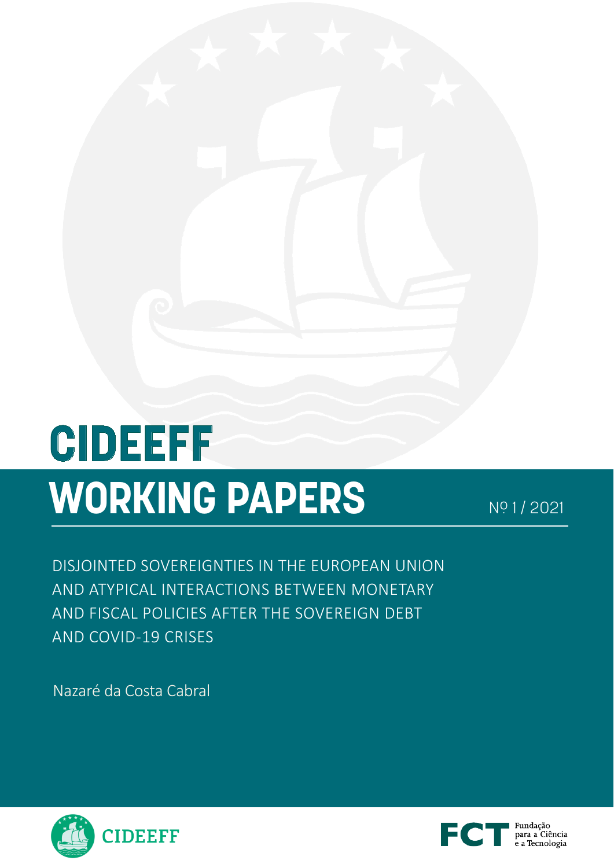# **CIDEEFF WORKING PAPERS** Nº 1/2021

DISJOINTED SOVEREIGNTIES IN THE EUROPEAN UNION AND ATYPICAL INTERACTIONS BETWEEN MONETARY AND FISCAL POLICIES AFTER THE SOVEREIGN DEBT AND COVID-19 CRISES

Nazaré da Costa Cabral



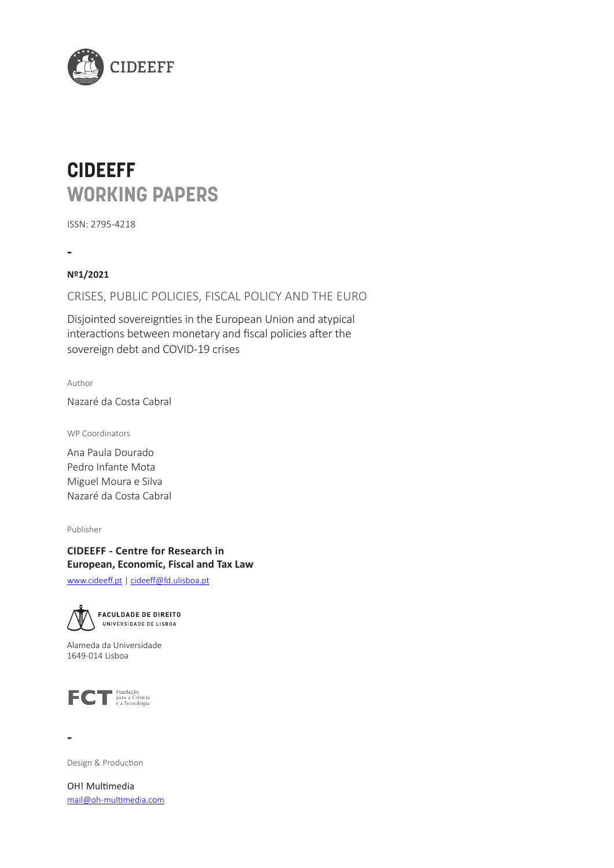<span id="page-1-0"></span>

# **CIDEEFF WORKING PAPERS**

ISSN: 2795-4218

**-**

**Nº1/2021** 

CRISES, PUBLIC POLICIES, FISCAL POLICY AND THE EURO

Disjointed sovereignties in the European Union and atypical interactions between monetary and fiscal policies after the sovereign debt and COVID-19 crises

Author

Nazaré da Costa Cabral

WP Coordinators

Ana Paula Dourado Pedro Infante Mota Miguel Moura e Silva Nazaré da Costa Cabral

Publisher

**CIDEEFF - Centre for Research in European, Economic, Fiscal and Tax Law** [www.cideeff.pt](http://www.cideeff.pt) | [cideeff@fd.ulisboa.pt](mailto:cideeff%40fd.ulisboa.pt?subject=)



Alameda da Universidade 1649-014 Lisboa



**-**

Design & Production

OH! Multimedia mail[@oh-multimedia.com](oh-multimedia.com)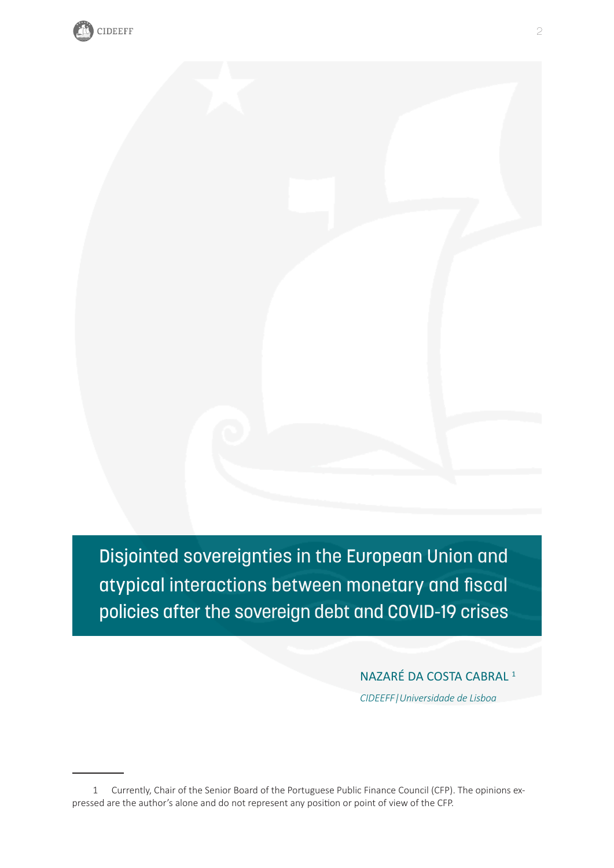

Disjointed sovereignties in the European Union and atypical interactions between monetary and fiscal policies after the sovereign debt and COVID-19 crises

NAZARÉ DA COSTA CABRAL 1

*CIDEEFF|Universidade de Lisboa*

<sup>1</sup> Currently, Chair of the Senior Board of the Portuguese Public Finance Council (CFP). The opinions expressed are the author's alone and do not represent any position or point of view of the CFP.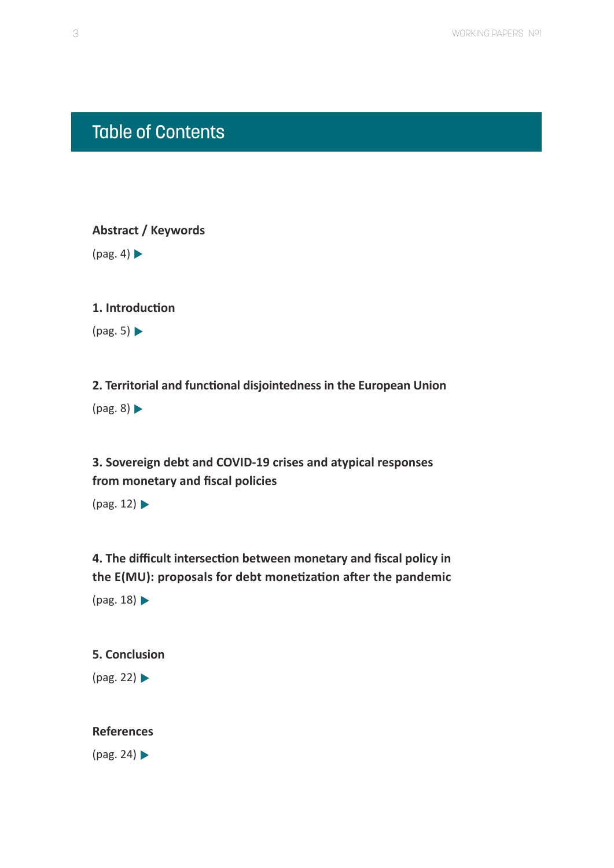# <span id="page-3-0"></span>Table of Contents

**[Abstract / Keywords](#page-4-0)**  $(pag. 4)$ 

**[1. Introduction](#page-5-0)**

 $(pag. 5)$ 

**[2. Territorial and functional disjointedness in the European Union](#page-8-0)**  $(pag. 8)$ 

**[3. Sovereign debt and COVID-19 crises and atypical responses](#page-12-0)  [from monetary and fiscal policies](#page-12-0)**

 $(pag. 12)$ 

**[4. The difficult intersection between monetary and fiscal policy in](#page-18-0)  [the E\(MU\): proposals for debt monetization after the pandemic](#page-18-0)**  [\(pag. 18\)](#page-18-0)

### **[5. Conclusion](#page-22-0)**

[\(pag. 22\)](#page-22-0)

### **[References](#page-24-0)**

 $(pag. 24)$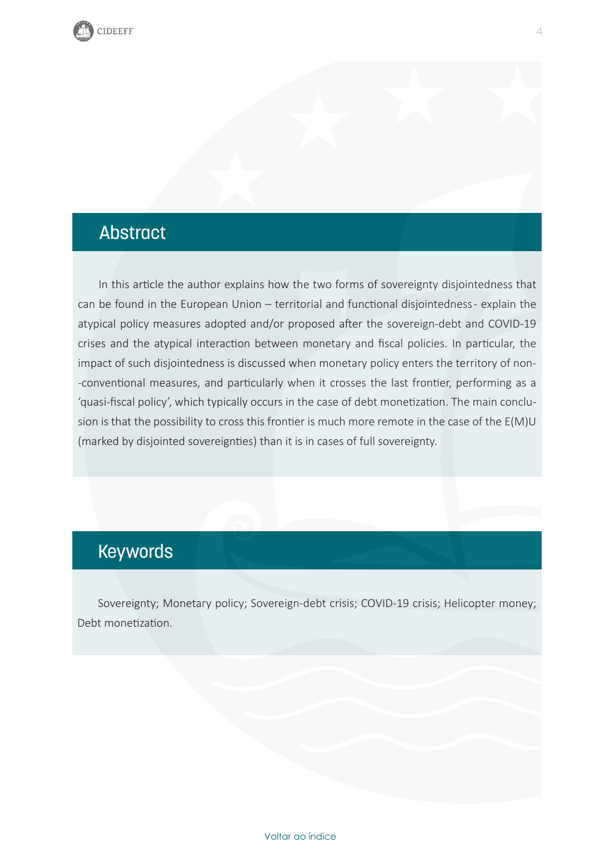# <span id="page-4-0"></span>Abstract

In this article the author explains how the two forms of sovereignty disjointedness that can be found in the European Union – territorial and functional disjointedness - explain the atypical policy measures adopted and/or proposed after the sovereign-debt and COVID-19 crises and the atypical interaction between monetary and fiscal policies. In particular, the impact of such disjointedness is discussed when monetary policy enters the territory of non- -conventional measures, and particularly when it crosses the last frontier, performing as a 'quasi-fiscal policy', which typically occurs in the case of debt monetization. The main conclusion is that the possibility to cross this frontier is much more remote in the case of the E(M)U (marked by disjointed sovereignties) than it is in cases of full sovereignty.

# Keywords

Sovereignty; Monetary policy; Sovereign-debt crisis; COVID-19 crisis; Helicopter money; Debt monetization.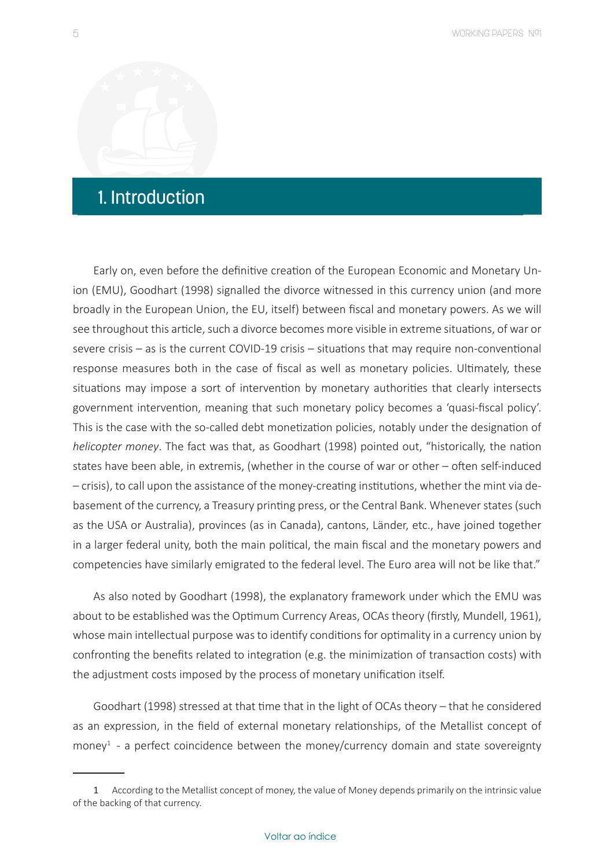# <span id="page-5-0"></span>1. Introduction

Early on, even before the definitive creation of the European Economic and Monetary Union (EMU), Goodhart (1998) signalled the divorce witnessed in this currency union (and more broadly in the European Union, the EU, itself) between fiscal and monetary powers. As we will see throughout this article, such a divorce becomes more visible in extreme situations, of war or severe crisis – as is the current COVID-19 crisis – situations that may require non-conventional response measures both in the case of fiscal as well as monetary policies. Ultimately, these situations may impose a sort of intervention by monetary authorities that clearly intersects government intervention, meaning that such monetary policy becomes a 'quasi-fiscal policy'. This is the case with the so-called debt monetization policies, notably under the designation of *helicopter money*. The fact was that, as Goodhart (1998) pointed out, "historically, the nation states have been able, in extremis, (whether in the course of war or other – often self-induced – crisis), to call upon the assistance of the money-creating institutions, whether the mint via debasement of the currency, a Treasury printing press, or the Central Bank. Whenever states (such as the USA or Australia), provinces (as in Canada), cantons, Länder, etc., have joined together in a larger federal unity, both the main political, the main fiscal and the monetary powers and competencies have similarly emigrated to the federal level. The Euro area will not be like that."

As also noted by Goodhart (1998), the explanatory framework under which the EMU was about to be established was the Optimum Currency Areas, OCAs theory (firstly, Mundell, 1961), whose main intellectual purpose was to identify conditions for optimality in a currency union by confronting the benefits related to integration (e.g. the minimization of transaction costs) with the adjustment costs imposed by the process of monetary unification itself.

Goodhart (1998) stressed at that time that in the light of OCAs theory – that he considered as an expression, in the field of external monetary relationships, of the Metallist concept of money<sup>1</sup> - a perfect coincidence between the money/currency domain and state sovereignty

<sup>1</sup> According to the Metallist concept of money, the value of Money depends primarily on the intrinsic value of the backing of that currency.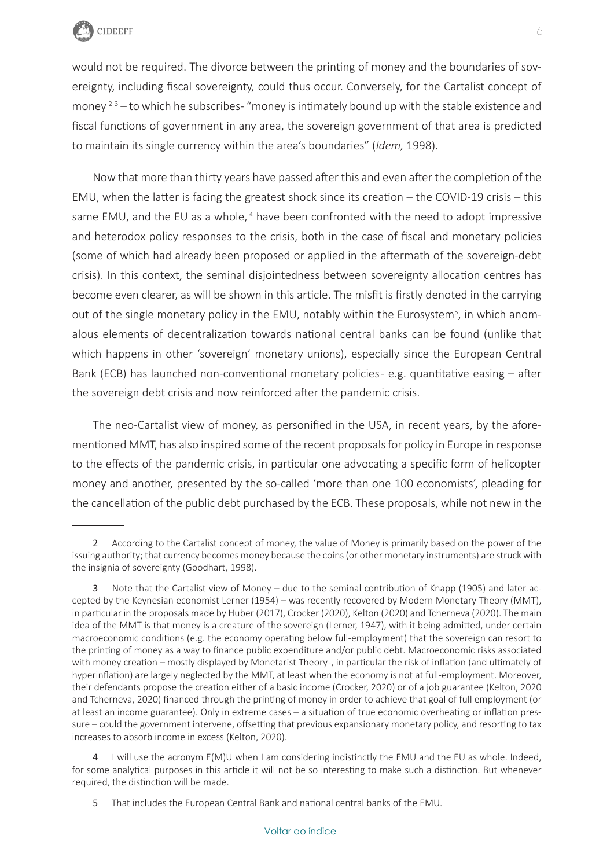

would not be required. The divorce between the printing of money and the boundaries of sovereignty, including fiscal sovereignty, could thus occur. Conversely, for the Cartalist concept of money  $2^3$  – to which he subscribes- "money is intimately bound up with the stable existence and fiscal functions of government in any area, the sovereign government of that area is predicted to maintain its single currency within the area's boundaries" (*Idem,* 1998).

Now that more than thirty years have passed after this and even after the completion of the EMU, when the latter is facing the greatest shock since its creation – the COVID-19 crisis – this same EMU, and the EU as a whole, <sup>4</sup> have been confronted with the need to adopt impressive and heterodox policy responses to the crisis, both in the case of fiscal and monetary policies (some of which had already been proposed or applied in the aftermath of the sovereign-debt crisis). In this context, the seminal disjointedness between sovereignty allocation centres has become even clearer, as will be shown in this article. The misfit is firstly denoted in the carrying out of the single monetary policy in the EMU, notably within the Eurosystem<sup>5</sup>, in which anomalous elements of decentralization towards national central banks can be found (unlike that which happens in other 'sovereign' monetary unions), especially since the European Central Bank (ECB) has launched non-conventional monetary policies - e.g. quantitative easing – after the sovereign debt crisis and now reinforced after the pandemic crisis.

The neo-Cartalist view of money, as personified in the USA, in recent years, by the aforementioned MMT, has also inspired some of the recent proposals for policy in Europe in response to the effects of the pandemic crisis, in particular one advocating a specific form of helicopter money and another, presented by the so-called 'more than one 100 economists', pleading for the cancellation of the public debt purchased by the ECB. These proposals, while not new in the

<sup>2</sup> According to the Cartalist concept of money, the value of Money is primarily based on the power of the issuing authority; that currency becomes money because the coins (or other monetary instruments) are struck with the insignia of sovereignty (Goodhart, 1998).

<sup>3</sup> Note that the Cartalist view of Money – due to the seminal contribution of Knapp (1905) and later accepted by the Keynesian economist Lerner (1954) – was recently recovered by Modern Monetary Theory (MMT), in particular in the proposals made by Huber (2017), Crocker (2020), Kelton (2020) and Tcherneva (2020). The main idea of the MMT is that money is a creature of the sovereign (Lerner, 1947), with it being admitted, under certain macroeconomic conditions (e.g. the economy operating below full-employment) that the sovereign can resort to the printing of money as a way to finance public expenditure and/or public debt. Macroeconomic risks associated with money creation – mostly displayed by Monetarist Theory-, in particular the risk of inflation (and ultimately of hyperinflation) are largely neglected by the MMT, at least when the economy is not at full-employment. Moreover, their defendants propose the creation either of a basic income (Crocker, 2020) or of a job guarantee (Kelton, 2020 and Tcherneva, 2020) financed through the printing of money in order to achieve that goal of full employment (or at least an income guarantee). Only in extreme cases – a situation of true economic overheating or inflation pressure – could the government intervene, offsetting that previous expansionary monetary policy, and resorting to tax increases to absorb income in excess (Kelton, 2020).

<sup>4</sup> I will use the acronym E(M)U when I am considering indistinctly the EMU and the EU as whole. Indeed, for some analytical purposes in this article it will not be so interesting to make such a distinction. But whenever required, the distinction will be made.

<sup>5</sup> That includes the European Central Bank and national central banks of the EMU.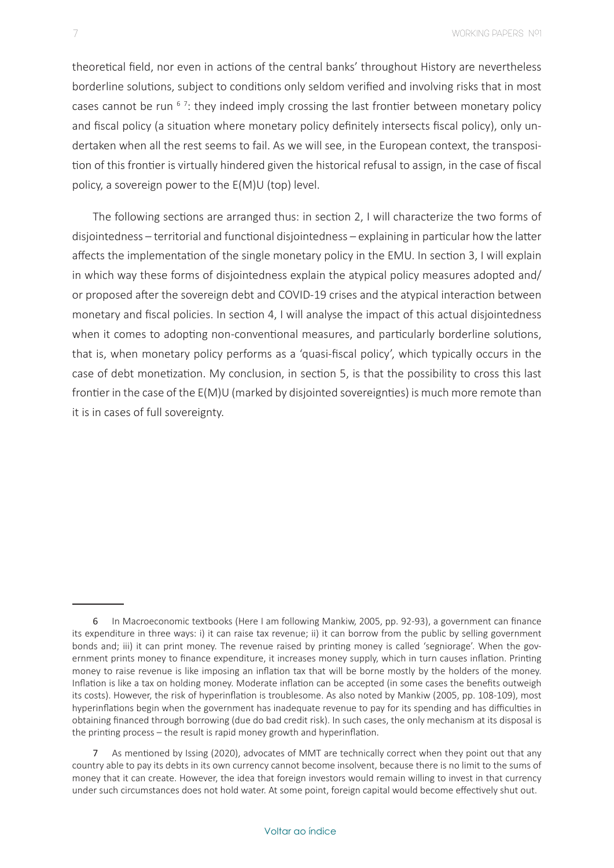theoretical field, nor even in actions of the central banks' throughout History are nevertheless borderline solutions, subject to conditions only seldom verified and involving risks that in most cases cannot be run  $6$  7: they indeed imply crossing the last frontier between monetary policy and fiscal policy (a situation where monetary policy definitely intersects fiscal policy), only undertaken when all the rest seems to fail. As we will see, in the European context, the transposition of this frontier is virtually hindered given the historical refusal to assign, in the case of fiscal policy, a sovereign power to the E(M)U (top) level.

The following sections are arranged thus: in section 2, I will characterize the two forms of disjointedness – territorial and functional disjointedness – explaining in particular how the latter affects the implementation of the single monetary policy in the EMU. In section 3, I will explain in which way these forms of disjointedness explain the atypical policy measures adopted and/ or proposed after the sovereign debt and COVID-19 crises and the atypical interaction between monetary and fiscal policies. In section 4, I will analyse the impact of this actual disjointedness when it comes to adopting non-conventional measures, and particularly borderline solutions, that is, when monetary policy performs as a 'quasi-fiscal policy', which typically occurs in the case of debt monetization. My conclusion, in section 5, is that the possibility to cross this last frontier in the case of the E(M)U (marked by disjointed sovereignties) is much more remote than it is in cases of full sovereignty.

<sup>6</sup> In Macroeconomic textbooks (Here I am following Mankiw, 2005, pp. 92-93), a government can finance its expenditure in three ways: i) it can raise tax revenue; ii) it can borrow from the public by selling government bonds and; iii) it can print money. The revenue raised by printing money is called 'segniorage'. When the government prints money to finance expenditure, it increases money supply, which in turn causes inflation. Printing money to raise revenue is like imposing an inflation tax that will be borne mostly by the holders of the money. Inflation is like a tax on holding money. Moderate inflation can be accepted (in some cases the benefits outweigh its costs). However, the risk of hyperinflation is troublesome. As also noted by Mankiw (2005, pp. 108-109), most hyperinflations begin when the government has inadequate revenue to pay for its spending and has difficulties in obtaining financed through borrowing (due do bad credit risk). In such cases, the only mechanism at its disposal is the printing process – the result is rapid money growth and hyperinflation.

<sup>7</sup> As mentioned by Issing (2020), advocates of MMT are technically correct when they point out that any country able to pay its debts in its own currency cannot become insolvent, because there is no limit to the sums of money that it can create. However, the idea that foreign investors would remain willing to invest in that currency under such circumstances does not hold water. At some point, foreign capital would become effectively shut out.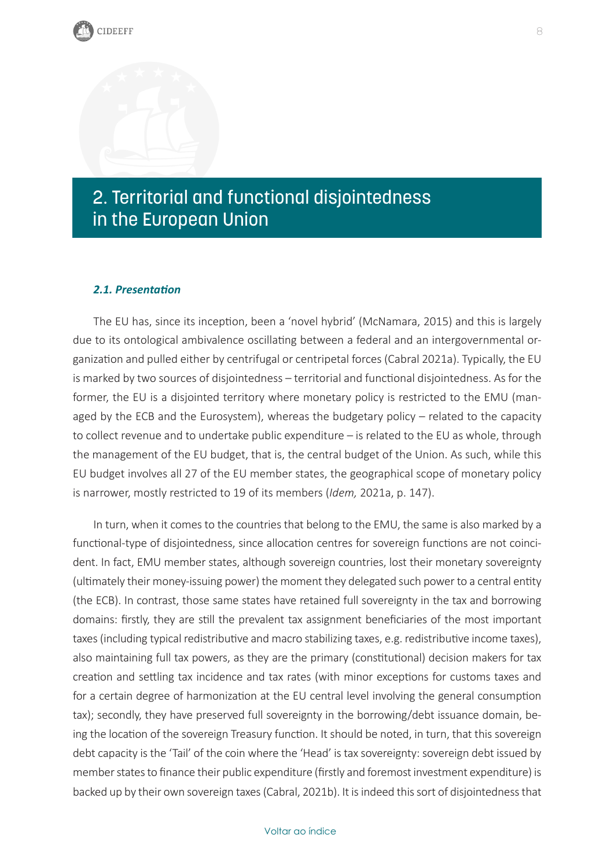# <span id="page-8-0"></span>2. Territorial and functional disjointedness in the European Union

### *2.1. Presentation*

The EU has, since its inception, been a 'novel hybrid' (McNamara, 2015) and this is largely due to its ontological ambivalence oscillating between a federal and an intergovernmental organization and pulled either by centrifugal or centripetal forces (Cabral 2021a). Typically, the EU is marked by two sources of disjointedness – territorial and functional disjointedness. As for the former, the EU is a disjointed territory where monetary policy is restricted to the EMU (managed by the ECB and the Eurosystem), whereas the budgetary policy – related to the capacity to collect revenue and to undertake public expenditure – is related to the EU as whole, through the management of the EU budget, that is, the central budget of the Union. As such, while this EU budget involves all 27 of the EU member states, the geographical scope of monetary policy is narrower, mostly restricted to 19 of its members (*Idem,* 2021a, p. 147).

In turn, when it comes to the countries that belong to the EMU, the same is also marked by a functional-type of disjointedness, since allocation centres for sovereign functions are not coincident. In fact, EMU member states, although sovereign countries, lost their monetary sovereignty (ultimately their money-issuing power) the moment they delegated such power to a central entity (the ECB). In contrast, those same states have retained full sovereignty in the tax and borrowing domains: firstly, they are still the prevalent tax assignment beneficiaries of the most important taxes (including typical redistributive and macro stabilizing taxes, e.g. redistributive income taxes), also maintaining full tax powers, as they are the primary (constitutional) decision makers for tax creation and settling tax incidence and tax rates (with minor exceptions for customs taxes and for a certain degree of harmonization at the EU central level involving the general consumption tax); secondly, they have preserved full sovereignty in the borrowing/debt issuance domain, being the location of the sovereign Treasury function. It should be noted, in turn, that this sovereign debt capacity is the 'Tail' of the coin where the 'Head' is tax sovereignty: sovereign debt issued by member states to finance their public expenditure (firstly and foremost investment expenditure) is backed up by their own sovereign taxes (Cabral, 2021b). It is indeed this sort of disjointedness that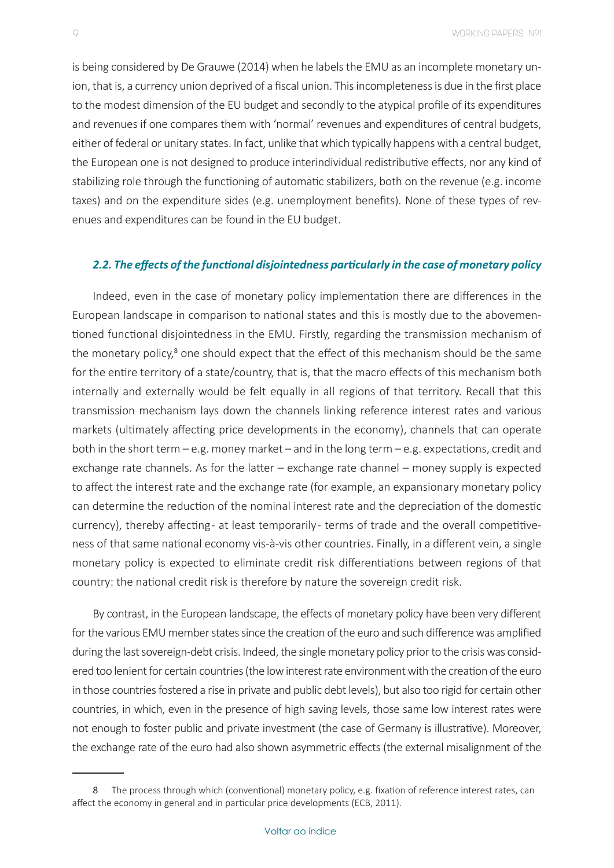is being considered by De Grauwe (2014) when he labels the EMU as an incomplete monetary union, that is, a currency union deprived of a fiscal union. This incompleteness is due in the first place to the modest dimension of the EU budget and secondly to the atypical profile of its expenditures and revenues if one compares them with 'normal' revenues and expenditures of central budgets, either of federal or unitary states. In fact, unlike that which typically happens with a central budget, the European one is not designed to produce interindividual redistributive effects, nor any kind of stabilizing role through the functioning of automatic stabilizers, both on the revenue (e.g. income taxes) and on the expenditure sides (e.g. unemployment benefits). None of these types of revenues and expenditures can be found in the EU budget.

#### *2.2. The effects of the functional disjointedness particularly in the case of monetary policy*

Indeed, even in the case of monetary policy implementation there are differences in the European landscape in comparison to national states and this is mostly due to the abovementioned functional disjointedness in the EMU. Firstly, regarding the transmission mechanism of the monetary policy,<sup>8</sup> one should expect that the effect of this mechanism should be the same for the entire territory of a state/country, that is, that the macro effects of this mechanism both internally and externally would be felt equally in all regions of that territory. Recall that this transmission mechanism lays down the channels linking reference interest rates and various markets (ultimately affecting price developments in the economy), channels that can operate both in the short term – e.g. money market – and in the long term – e.g. expectations, credit and exchange rate channels. As for the latter – exchange rate channel – money supply is expected to affect the interest rate and the exchange rate (for example, an expansionary monetary policy can determine the reduction of the nominal interest rate and the depreciation of the domestic currency), thereby affecting - at least temporarily - terms of trade and the overall competitiveness of that same national economy vis-à-vis other countries. Finally, in a different vein, a single monetary policy is expected to eliminate credit risk differentiations between regions of that country: the national credit risk is therefore by nature the sovereign credit risk.

By contrast, in the European landscape, the effects of monetary policy have been very different for the various EMU member states since the creation of the euro and such difference was amplified during the last sovereign-debt crisis. Indeed, the single monetary policy prior to the crisis was considered too lenient for certain countries (the low interest rate environment with the creation of the euro in those countries fostered a rise in private and public debt levels), but also too rigid for certain other countries, in which, even in the presence of high saving levels, those same low interest rates were not enough to foster public and private investment (the case of Germany is illustrative). Moreover, the exchange rate of the euro had also shown asymmetric effects (the external misalignment of the

<sup>8</sup> The process through which (conventional) monetary policy, e.g. fixation of reference interest rates, can affect the economy in general and in particular price developments (ECB, 2011).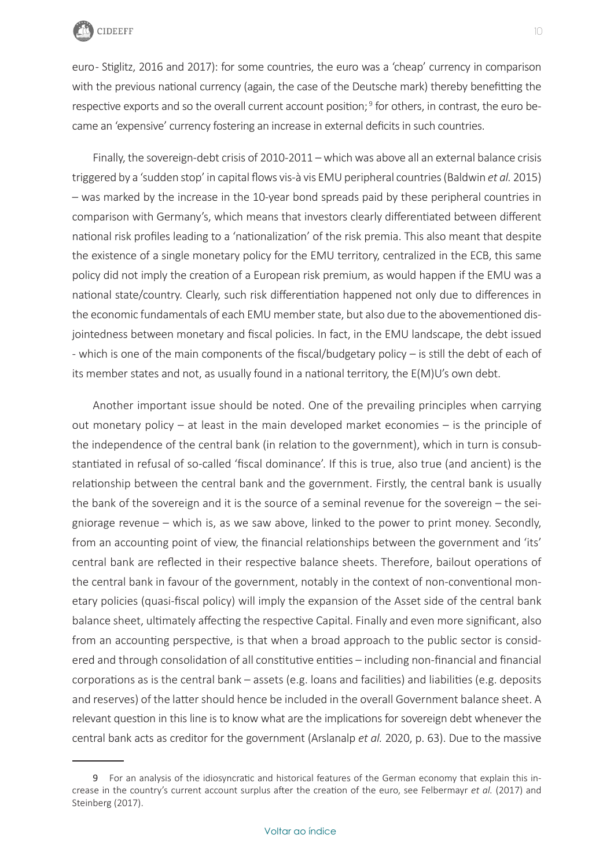

euro- Stiglitz, 2016 and 2017): for some countries, the euro was a 'cheap' currency in comparison with the previous national currency (again, the case of the Deutsche mark) thereby benefitting the respective exports and so the overall current account position;<sup>9</sup> for others, in contrast, the euro became an 'expensive' currency fostering an increase in external deficits in such countries.

Finally, the sovereign-debt crisis of 2010-2011 – which was above all an external balance crisis triggered by a 'sudden stop' in capital flows vis-à vis EMU peripheral countries (Baldwin *et al.* 2015) – was marked by the increase in the 10-year bond spreads paid by these peripheral countries in comparison with Germany's, which means that investors clearly differentiated between different national risk profiles leading to a 'nationalization' of the risk premia. This also meant that despite the existence of a single monetary policy for the EMU territory, centralized in the ECB, this same policy did not imply the creation of a European risk premium, as would happen if the EMU was a national state/country. Clearly, such risk differentiation happened not only due to differences in the economic fundamentals of each EMU member state, but also due to the abovementioned disjointedness between monetary and fiscal policies. In fact, in the EMU landscape, the debt issued - which is one of the main components of the fiscal/budgetary policy – is still the debt of each of its member states and not, as usually found in a national territory, the E(M)U's own debt.

Another important issue should be noted. One of the prevailing principles when carrying out monetary policy – at least in the main developed market economies – is the principle of the independence of the central bank (in relation to the government), which in turn is consubstantiated in refusal of so-called 'fiscal dominance'. If this is true, also true (and ancient) is the relationship between the central bank and the government. Firstly, the central bank is usually the bank of the sovereign and it is the source of a seminal revenue for the sovereign – the seigniorage revenue – which is, as we saw above, linked to the power to print money. Secondly, from an accounting point of view, the financial relationships between the government and 'its' central bank are reflected in their respective balance sheets. Therefore, bailout operations of the central bank in favour of the government, notably in the context of non-conventional monetary policies (quasi-fiscal policy) will imply the expansion of the Asset side of the central bank balance sheet, ultimately affecting the respective Capital. Finally and even more significant, also from an accounting perspective, is that when a broad approach to the public sector is considered and through consolidation of all constitutive entities – including non-financial and financial corporations as is the central bank – assets (e.g. loans and facilities) and liabilities (e.g. deposits and reserves) of the latter should hence be included in the overall Government balance sheet. A relevant question in this line is to know what are the implications for sovereign debt whenever the central bank acts as creditor for the government (Arslanalp *et al.* 2020, p. 63). Due to the massive

<sup>9</sup> For an analysis of the idiosyncratic and historical features of the German economy that explain this increase in the country's current account surplus after the creation of the euro, see Felbermayr *et al.* (2017) and Steinberg (2017).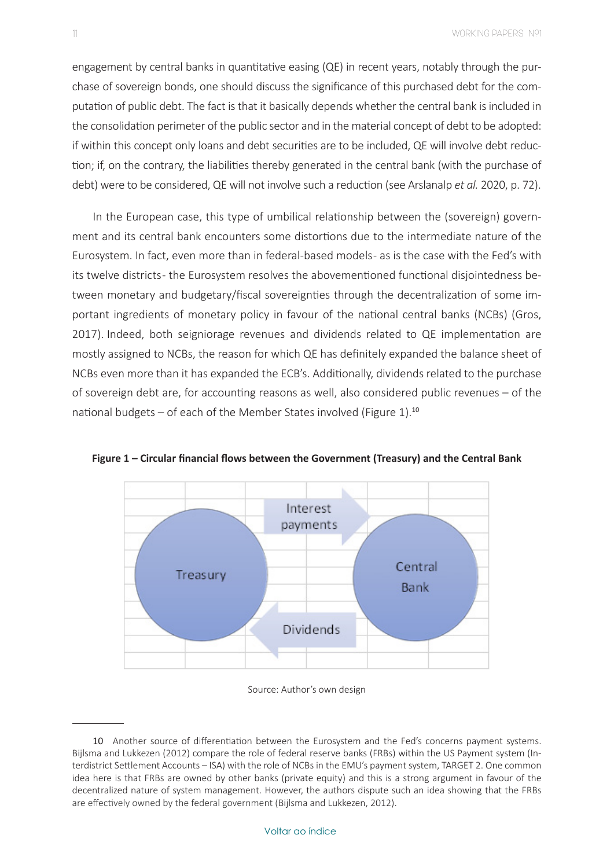engagement by central banks in quantitative easing (QE) in recent years, notably through the purchase of sovereign bonds, one should discuss the significance of this purchased debt for the computation of public debt. The fact is that it basically depends whether the central bank is included in the consolidation perimeter of the public sector and in the material concept of debt to be adopted: if within this concept only loans and debt securities are to be included, QE will involve debt reduction; if, on the contrary, the liabilities thereby generated in the central bank (with the purchase of debt) were to be considered, QE will not involve such a reduction (see Arslanalp *et al.* 2020, p. 72).

In the European case, this type of umbilical relationship between the (sovereign) government and its central bank encounters some distortions due to the intermediate nature of the Eurosystem. In fact, even more than in federal-based models - as is the case with the Fed's with its twelve districts- the Eurosystem resolves the abovementioned functional disjointedness between monetary and budgetary/fiscal sovereignties through the decentralization of some important ingredients of monetary policy in favour of the national central banks (NCBs) (Gros, 2017). Indeed, both seigniorage revenues and dividends related to QE implementation are mostly assigned to NCBs, the reason for which QE has definitely expanded the balance sheet of NCBs even more than it has expanded the ECB's. Additionally, dividends related to the purchase of sovereign debt are, for accounting reasons as well, also considered public revenues – of the national budgets – of each of the Member States involved (Figure 1).<sup>10</sup>



**Figure 1 – Circular financial flows between the Government (Treasury) and the Central Bank**

#### Source: Author's own design

<sup>10</sup> Another source of differentiation between the Eurosystem and the Fed's concerns payment systems. Bijlsma and Lukkezen (2012) compare the role of federal reserve banks (FRBs) within the US Payment system (Interdistrict Settlement Accounts – ISA) with the role of NCBs in the EMU's payment system, TARGET 2. One common idea here is that FRBs are owned by other banks (private equity) and this is a strong argument in favour of the decentralized nature of system management. However, the authors dispute such an idea showing that the FRBs are effectively owned by the federal government (Bijlsma and Lukkezen, 2012).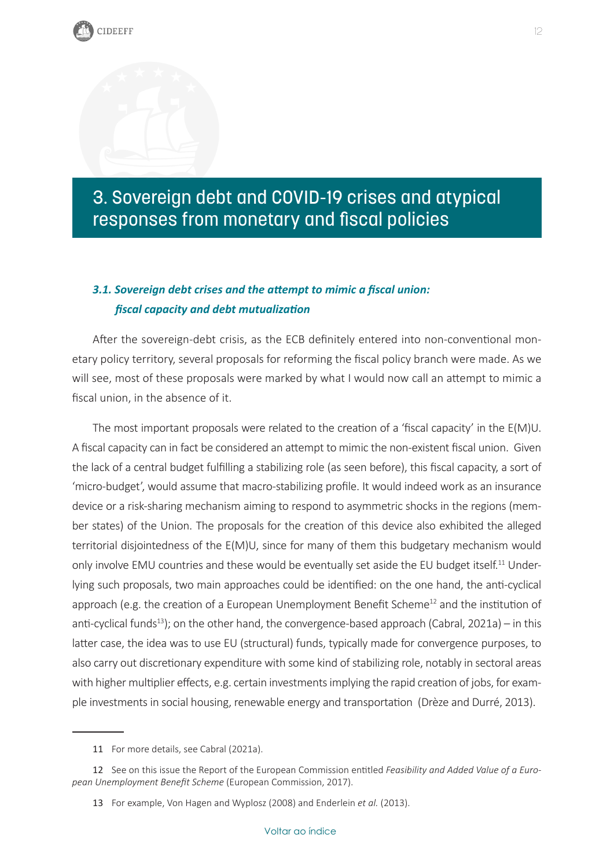# <span id="page-12-0"></span>3. Sovereign debt and COVID-19 crises and atypical responses from monetary and fiscal policies

### *3.1. Sovereign debt crises and the attempt to mimic a fiscal union: fiscal capacity and debt mutualization*

After the sovereign-debt crisis, as the ECB definitely entered into non-conventional monetary policy territory, several proposals for reforming the fiscal policy branch were made. As we will see, most of these proposals were marked by what I would now call an attempt to mimic a fiscal union, in the absence of it.

The most important proposals were related to the creation of a 'fiscal capacity' in the E(M)U. A fiscal capacity can in fact be considered an attempt to mimic the non-existent fiscal union. Given the lack of a central budget fulfilling a stabilizing role (as seen before), this fiscal capacity, a sort of 'micro-budget', would assume that macro-stabilizing profile. It would indeed work as an insurance device or a risk-sharing mechanism aiming to respond to asymmetric shocks in the regions (member states) of the Union. The proposals for the creation of this device also exhibited the alleged territorial disjointedness of the E(M)U, since for many of them this budgetary mechanism would only involve EMU countries and these would be eventually set aside the EU budget itself.<sup>11</sup> Underlying such proposals, two main approaches could be identified: on the one hand, the anti-cyclical approach (e.g. the creation of a European Unemployment Benefit Scheme<sup>12</sup> and the institution of anti-cyclical funds<sup>13</sup>); on the other hand, the convergence-based approach (Cabral, 2021a) – in this latter case, the idea was to use EU (structural) funds, typically made for convergence purposes, to also carry out discretionary expenditure with some kind of stabilizing role, notably in sectoral areas with higher multiplier effects, e.g. certain investments implying the rapid creation of jobs, for example investments in social housing, renewable energy and transportation (Drèze and Durré, 2013).

<sup>11</sup> For more details, see Cabral (2021a).

<sup>12</sup> See on this issue the Report of the European Commission entitled *Feasibility and Added Value of a European Unemployment Benefit Scheme* (European Commission, 2017).

<sup>13</sup> For example, Von Hagen and Wyplosz (2008) and Enderlein *et al.* (2013).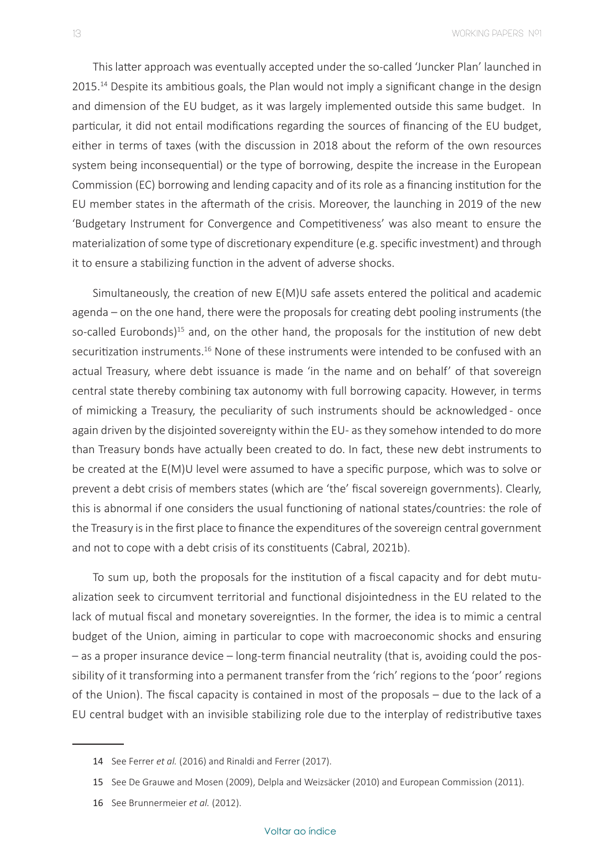This latter approach was eventually accepted under the so-called 'Juncker Plan' launched in 2015.<sup>14</sup> Despite its ambitious goals, the Plan would not imply a significant change in the design and dimension of the EU budget, as it was largely implemented outside this same budget. In particular, it did not entail modifications regarding the sources of financing of the EU budget, either in terms of taxes (with the discussion in 2018 about the reform of the own resources system being inconsequential) or the type of borrowing, despite the increase in the European Commission (EC) borrowing and lending capacity and of its role as a financing institution for the EU member states in the aftermath of the crisis. Moreover, the launching in 2019 of the new 'Budgetary Instrument for Convergence and Competitiveness' was also meant to ensure the materialization of some type of discretionary expenditure (e.g. specific investment) and through it to ensure a stabilizing function in the advent of adverse shocks.

Simultaneously, the creation of new E(M)U safe assets entered the political and academic agenda – on the one hand, there were the proposals for creating debt pooling instruments (the so-called Eurobonds)<sup>15</sup> and, on the other hand, the proposals for the institution of new debt securitization instruments.<sup>16</sup> None of these instruments were intended to be confused with an actual Treasury, where debt issuance is made 'in the name and on behalf' of that sovereign central state thereby combining tax autonomy with full borrowing capacity. However, in terms of mimicking a Treasury, the peculiarity of such instruments should be acknowledged - once again driven by the disjointed sovereignty within the EU- as they somehow intended to do more than Treasury bonds have actually been created to do. In fact, these new debt instruments to be created at the E(M)U level were assumed to have a specific purpose, which was to solve or prevent a debt crisis of members states (which are 'the' fiscal sovereign governments). Clearly, this is abnormal if one considers the usual functioning of national states/countries: the role of the Treasury is in the first place to finance the expenditures of the sovereign central government and not to cope with a debt crisis of its constituents (Cabral, 2021b).

To sum up, both the proposals for the institution of a fiscal capacity and for debt mutualization seek to circumvent territorial and functional disjointedness in the EU related to the lack of mutual fiscal and monetary sovereignties. In the former, the idea is to mimic a central budget of the Union, aiming in particular to cope with macroeconomic shocks and ensuring – as a proper insurance device – long-term financial neutrality (that is, avoiding could the possibility of it transforming into a permanent transfer from the 'rich' regions to the 'poor' regions of the Union). The fiscal capacity is contained in most of the proposals – due to the lack of a EU central budget with an invisible stabilizing role due to the interplay of redistributive taxes

<sup>14</sup> See Ferrer *et al.* (2016) and Rinaldi and Ferrer (2017).

<sup>15</sup> See De Grauwe and Mosen (2009), Delpla and Weizsäcker (2010) and European Commission (2011).

<sup>16</sup> See Brunnermeier *et al.* (2012).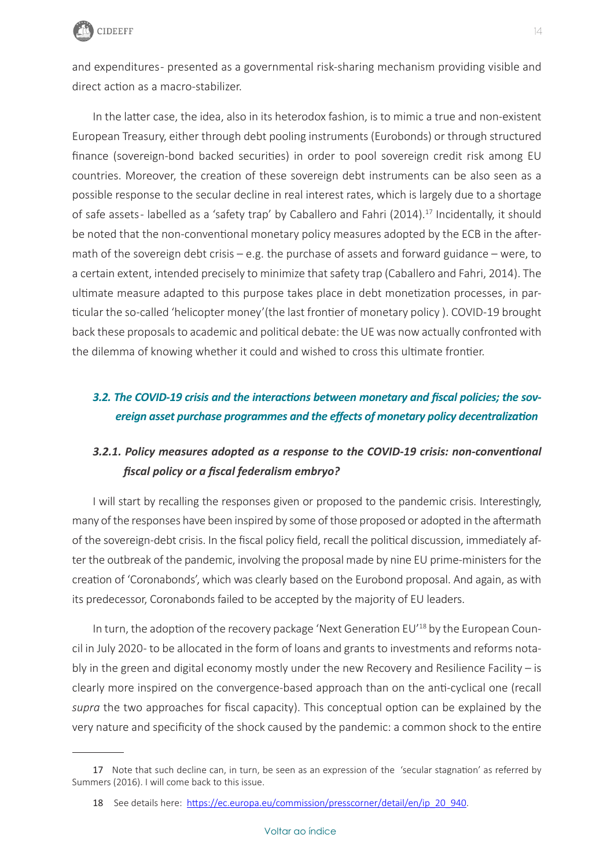

and expenditures- presented as a governmental risk-sharing mechanism providing visible and direct action as a macro-stabilizer.

In the latter case, the idea, also in its heterodox fashion, is to mimic a true and non-existent European Treasury, either through debt pooling instruments (Eurobonds) or through structured finance (sovereign-bond backed securities) in order to pool sovereign credit risk among EU countries. Moreover, the creation of these sovereign debt instruments can be also seen as a possible response to the secular decline in real interest rates, which is largely due to a shortage of safe assets-labelled as a 'safety trap' by Caballero and Fahri (2014).<sup>17</sup> Incidentally, it should be noted that the non-conventional monetary policy measures adopted by the ECB in the aftermath of the sovereign debt crisis – e.g. the purchase of assets and forward guidance – were, to a certain extent, intended precisely to minimize that safety trap (Caballero and Fahri, 2014). The ultimate measure adapted to this purpose takes place in debt monetization processes, in particular the so-called 'helicopter money'(the last frontier of monetary policy ). COVID-19 brought back these proposals to academic and political debate: the UE was now actually confronted with the dilemma of knowing whether it could and wished to cross this ultimate frontier.

### *3.2. The COVID-19 crisis and the interactions between monetary and fiscal policies; the sovereign asset purchase programmes and the effects of monetary policy decentralization*

### *3.2.1. Policy measures adopted as a response to the COVID-19 crisis: non-conventional fiscal policy or a fiscal federalism embryo?*

I will start by recalling the responses given or proposed to the pandemic crisis. Interestingly, many of the responses have been inspired by some of those proposed or adopted in the aftermath of the sovereign-debt crisis. In the fiscal policy field, recall the political discussion, immediately after the outbreak of the pandemic, involving the proposal made by nine EU prime-ministers for the creation of 'Coronabonds', which was clearly based on the Eurobond proposal. And again, as with its predecessor, Coronabonds failed to be accepted by the majority of EU leaders.

In turn, the adoption of the recovery package 'Next Generation EU'<sup>18</sup> by the European Council in July 2020 - to be allocated in the form of loans and grants to investments and reforms notably in the green and digital economy mostly under the new Recovery and Resilience Facility – is clearly more inspired on the convergence-based approach than on the anti-cyclical one (recall *supra* the two approaches for fiscal capacity). This conceptual option can be explained by the very nature and specificity of the shock caused by the pandemic: a common shock to the entire

<sup>17</sup> Note that such decline can, in turn, be seen as an expression of the 'secular stagnation' as referred by Summers (2016). I will come back to this issue.

<sup>18</sup> See details here: [https://ec.europa.eu/commission/presscorner/detail/en/ip\\_20\\_940](https://ec.europa.eu/commission/presscorner/detail/en/ip_20_940).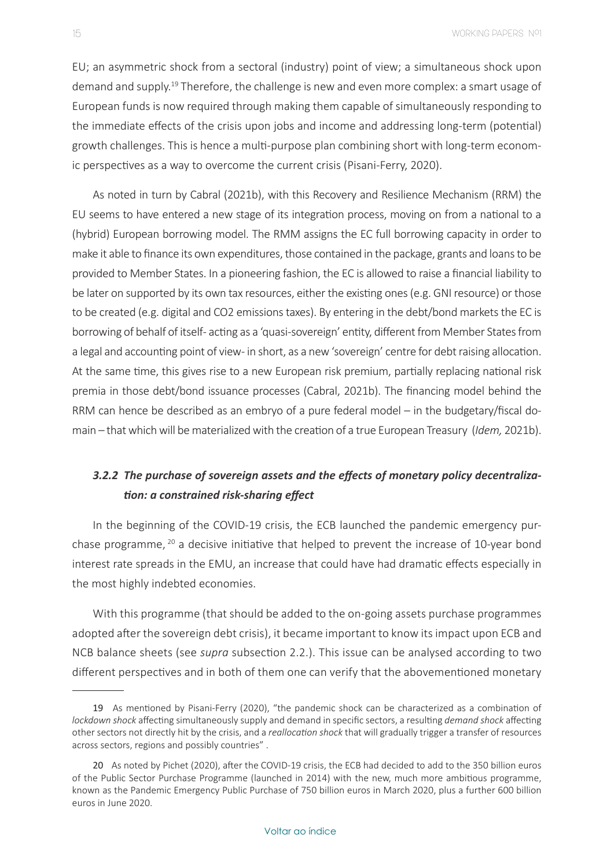EU; an asymmetric shock from a sectoral (industry) point of view; a simultaneous shock upon demand and supply.<sup>19</sup> Therefore, the challenge is new and even more complex: a smart usage of European funds is now required through making them capable of simultaneously responding to the immediate effects of the crisis upon jobs and income and addressing long-term (potential) growth challenges. This is hence a multi-purpose plan combining short with long-term economic perspectives as a way to overcome the current crisis (Pisani-Ferry, 2020).

As noted in turn by Cabral (2021b), with this Recovery and Resilience Mechanism (RRM) the EU seems to have entered a new stage of its integration process, moving on from a national to a (hybrid) European borrowing model. The RMM assigns the EC full borrowing capacity in order to make it able to finance its own expenditures, those contained in the package, grants and loans to be provided to Member States. In a pioneering fashion, the EC is allowed to raise a financial liability to be later on supported by its own tax resources, either the existing ones (e.g. GNI resource) or those to be created (e.g. digital and CO2 emissions taxes). By entering in the debt/bond markets the EC is borrowing of behalf of itself- acting as a 'quasi-sovereign' entity, different from Member States from a legal and accounting point of view- in short, as a new 'sovereign' centre for debt raising allocation. At the same time, this gives rise to a new European risk premium, partially replacing national risk premia in those debt/bond issuance processes (Cabral, 2021b). The financing model behind the RRM can hence be described as an embryo of a pure federal model – in the budgetary/fiscal domain – that which will be materialized with the creation of a true European Treasury (*Idem,* 2021b).

### *3.2.2 The purchase of sovereign assets and the effects of monetary policy decentralization: a constrained risk-sharing effect*

In the beginning of the COVID-19 crisis, the ECB launched the pandemic emergency purchase programme, <sup>20</sup> a decisive initiative that helped to prevent the increase of 10-year bond interest rate spreads in the EMU, an increase that could have had dramatic effects especially in the most highly indebted economies.

With this programme (that should be added to the on-going assets purchase programmes adopted after the sovereign debt crisis), it became important to know its impact upon ECB and NCB balance sheets (see *supra* subsection 2.2.). This issue can be analysed according to two different perspectives and in both of them one can verify that the abovementioned monetary

<sup>19</sup> As mentioned by Pisani-Ferry (2020), "the pandemic shock can be characterized as a combination of *lockdown shock* affecting simultaneously supply and demand in specific sectors, a resulting *demand shock* affecting other sectors not directly hit by the crisis, and a *reallocation shock* that will gradually trigger a transfer of resources across sectors, regions and possibly countries" .

<sup>20</sup> As noted by Pichet (2020), after the COVID-19 crisis, the ECB had decided to add to the 350 billion euros of the Public Sector Purchase Programme (launched in 2014) with the new, much more ambitious programme, known as the Pandemic Emergency Public Purchase of 750 billion euros in March 2020, plus a further 600 billion euros in June 2020.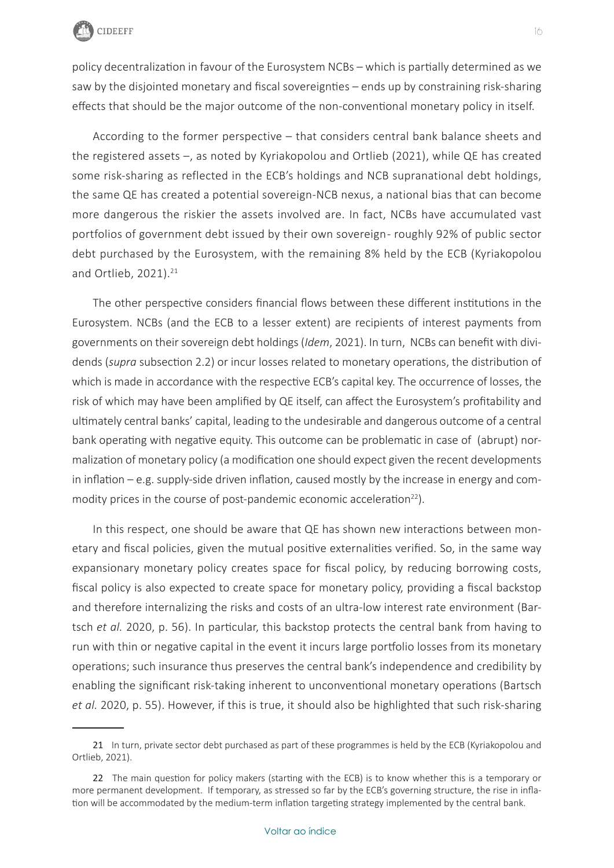

policy decentralization in favour of the Eurosystem NCBs – which is partially determined as we saw by the disjointed monetary and fiscal sovereignties – ends up by constraining risk-sharing effects that should be the major outcome of the non-conventional monetary policy in itself.

According to the former perspective – that considers central bank balance sheets and the registered assets –, as noted by Kyriakopolou and Ortlieb (2021), while QE has created some risk-sharing as reflected in the ECB's holdings and NCB supranational debt holdings, the same QE has created a potential sovereign-NCB nexus, a national bias that can become more dangerous the riskier the assets involved are. In fact, NCBs have accumulated vast portfolios of government debt issued by their own sovereign- roughly 92% of public sector debt purchased by the Eurosystem, with the remaining 8% held by the ECB (Kyriakopolou and Ortlieb,  $2021$ ). $21$ 

The other perspective considers financial flows between these different institutions in the Eurosystem. NCBs (and the ECB to a lesser extent) are recipients of interest payments from governments on their sovereign debt holdings (*Idem*, 2021). In turn, NCBs can benefit with dividends (*supra* subsection 2.2) or incur losses related to monetary operations, the distribution of which is made in accordance with the respective ECB's capital key. The occurrence of losses, the risk of which may have been amplified by QE itself, can affect the Eurosystem's profitability and ultimately central banks' capital, leading to the undesirable and dangerous outcome of a central bank operating with negative equity. This outcome can be problematic in case of (abrupt) normalization of monetary policy (a modification one should expect given the recent developments in inflation – e.g. supply-side driven inflation, caused mostly by the increase in energy and commodity prices in the course of post-pandemic economic acceleration $^{22}$ ).

In this respect, one should be aware that QE has shown new interactions between monetary and fiscal policies, given the mutual positive externalities verified. So, in the same way expansionary monetary policy creates space for fiscal policy, by reducing borrowing costs, fiscal policy is also expected to create space for monetary policy, providing a fiscal backstop and therefore internalizing the risks and costs of an ultra-low interest rate environment (Bartsch *et al.* 2020, p. 56). In particular, this backstop protects the central bank from having to run with thin or negative capital in the event it incurs large portfolio losses from its monetary operations; such insurance thus preserves the central bank's independence and credibility by enabling the significant risk-taking inherent to unconventional monetary operations (Bartsch *et al.* 2020, p. 55). However, if this is true, it should also be highlighted that such risk-sharing

<sup>21</sup> In turn, private sector debt purchased as part of these programmes is held by the ECB (Kyriakopolou and Ortlieb, 2021).

<sup>22</sup> The main question for policy makers (starting with the ECB) is to know whether this is a temporary or more permanent development. If temporary, as stressed so far by the ECB's governing structure, the rise in inflation will be accommodated by the medium-term inflation targeting strategy implemented by the central bank.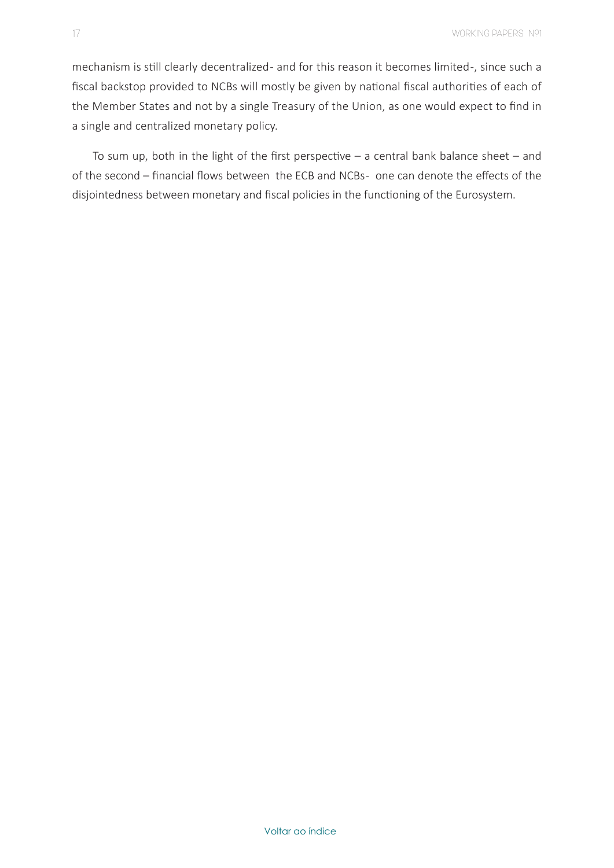mechanism is still clearly decentralized - and for this reason it becomes limited -, since such a fiscal backstop provided to NCBs will mostly be given by national fiscal authorities of each of the Member States and not by a single Treasury of the Union, as one would expect to find in a single and centralized monetary policy.

To sum up, both in the light of the first perspective  $-$  a central bank balance sheet  $-$  and of the second – financial flows between the ECB and NCBs- one can denote the effects of the disjointedness between monetary and fiscal policies in the functioning of the Eurosystem.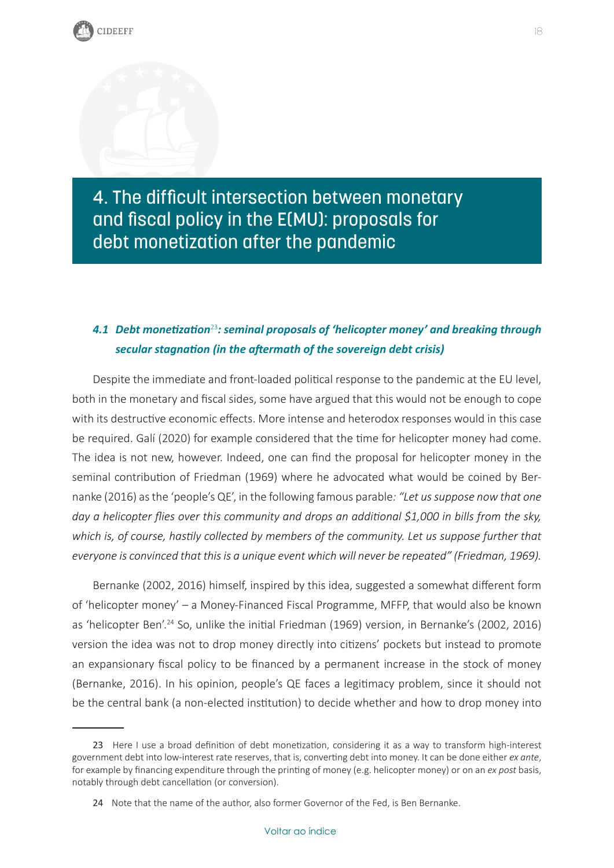<span id="page-18-0"></span>4. The difficult intersection between monetary and fiscal policy in the E(MU): proposals for debt monetization after the pandemic

### *4.1 Debt monetization*<sup>23</sup>*: seminal proposals of 'helicopter money' and breaking through secular stagnation (in the aftermath of the sovereign debt crisis)*

Despite the immediate and front-loaded political response to the pandemic at the EU level, both in the monetary and fiscal sides, some have argued that this would not be enough to cope with its destructive economic effects. More intense and heterodox responses would in this case be required. Galí (2020) for example considered that the time for helicopter money had come. The idea is not new, however. Indeed, one can find the proposal for helicopter money in the seminal contribution of Friedman (1969) where he advocated what would be coined by Bernanke (2016) as the 'people's QE', in the following famous parable*: "Let us suppose now that one day a helicopter flies over this community and drops an additional \$1,000 in bills from the sky, which is, of course, hastily collected by members of the community. Let us suppose further that everyone is convinced that this is a unique event which will never be repeated" (Friedman, 1969).*

Bernanke (2002, 2016) himself, inspired by this idea, suggested a somewhat different form of 'helicopter money' – a Money-Financed Fiscal Programme, MFFP, that would also be known as 'helicopter Ben'.<sup>24</sup> So, unlike the initial Friedman (1969) version, in Bernanke's (2002, 2016) version the idea was not to drop money directly into citizens' pockets but instead to promote an expansionary fiscal policy to be financed by a permanent increase in the stock of money (Bernanke, 2016). In his opinion, people's QE faces a legitimacy problem, since it should not be the central bank (a non-elected institution) to decide whether and how to drop money into

<sup>23</sup> Here I use a broad definition of debt monetization, considering it as a way to transform high-interest government debt into low-interest rate reserves, that is, converting debt into money. It can be done either *ex ante*, for example by financing expenditure through the printing of money (e.g. helicopter money) or on an *ex post* basis, notably through debt cancellation (or conversion).

<sup>24</sup> Note that the name of the author, also former Governor of the Fed, is Ben Bernanke.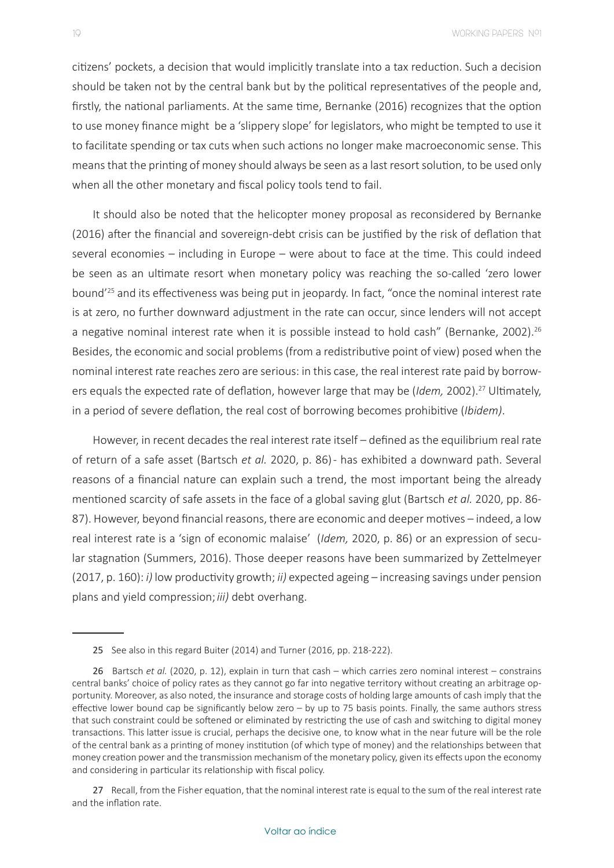citizens' pockets, a decision that would implicitly translate into a tax reduction. Such a decision should be taken not by the central bank but by the political representatives of the people and, firstly, the national parliaments. At the same time, Bernanke (2016) recognizes that the option to use money finance might be a 'slippery slope' for legislators, who might be tempted to use it to facilitate spending or tax cuts when such actions no longer make macroeconomic sense. This means that the printing of money should always be seen as a last resort solution, to be used only when all the other monetary and fiscal policy tools tend to fail.

It should also be noted that the helicopter money proposal as reconsidered by Bernanke (2016) after the financial and sovereign-debt crisis can be justified by the risk of deflation that several economies – including in Europe – were about to face at the time. This could indeed be seen as an ultimate resort when monetary policy was reaching the so-called 'zero lower bound'<sup>25</sup> and its effectiveness was being put in jeopardy. In fact, "once the nominal interest rate is at zero, no further downward adjustment in the rate can occur, since lenders will not accept a negative nominal interest rate when it is possible instead to hold cash" (Bernanke, 2002).<sup>26</sup> Besides, the economic and social problems (from a redistributive point of view) posed when the nominal interest rate reaches zero are serious: in this case, the real interest rate paid by borrowers equals the expected rate of deflation, however large that may be (*Idem,* 2002).<sup>27</sup> Ultimately, in a period of severe deflation, the real cost of borrowing becomes prohibitive (*Ibidem)*.

However, in recent decades the real interest rate itself – defined as the equilibrium real rate of return of a safe asset (Bartsch *et al.* 2020, p. 86) - has exhibited a downward path. Several reasons of a financial nature can explain such a trend, the most important being the already mentioned scarcity of safe assets in the face of a global saving glut (Bartsch *et al.* 2020, pp. 86- 87). However, beyond financial reasons, there are economic and deeper motives – indeed, a low real interest rate is a 'sign of economic malaise' (*Idem,* 2020, p. 86) or an expression of secular stagnation (Summers, 2016). Those deeper reasons have been summarized by Zettelmeyer (2017, p. 160): *i)* low productivity growth; *ii)* expected ageing – increasing savings under pension plans and yield compression;*iii)* debt overhang.

<sup>25</sup> See also in this regard Buiter (2014) and Turner (2016, pp. 218-222).

<sup>26</sup> Bartsch *et al.* (2020, p. 12), explain in turn that cash – which carries zero nominal interest – constrains central banks' choice of policy rates as they cannot go far into negative territory without creating an arbitrage opportunity. Moreover, as also noted, the insurance and storage costs of holding large amounts of cash imply that the effective lower bound cap be significantly below zero – by up to 75 basis points. Finally, the same authors stress that such constraint could be softened or eliminated by restricting the use of cash and switching to digital money transactions. This latter issue is crucial, perhaps the decisive one, to know what in the near future will be the role of the central bank as a printing of money institution (of which type of money) and the relationships between that money creation power and the transmission mechanism of the monetary policy, given its effects upon the economy and considering in particular its relationship with fiscal policy.

<sup>27</sup> Recall, from the Fisher equation, that the nominal interest rate is equal to the sum of the real interest rate and the inflation rate.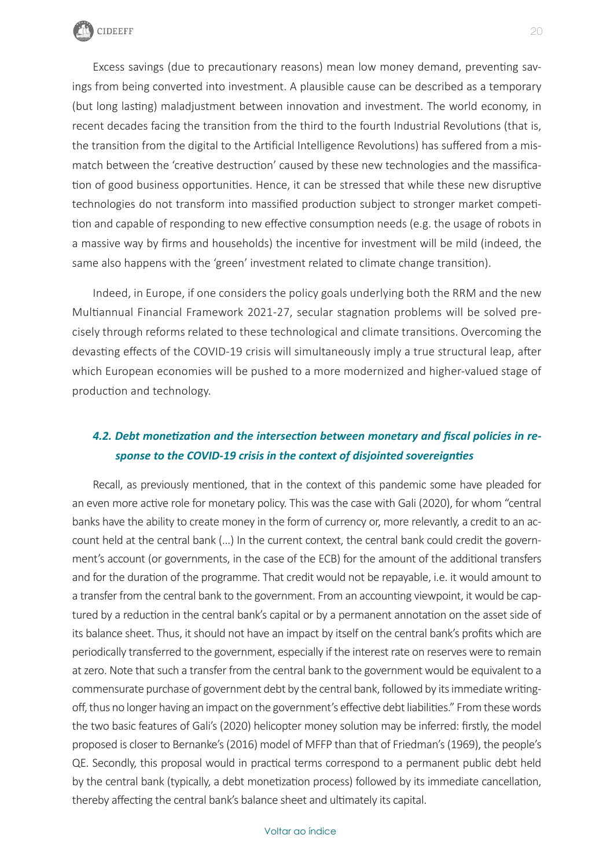

Excess savings (due to precautionary reasons) mean low money demand, preventing savings from being converted into investment. A plausible cause can be described as a temporary (but long lasting) maladjustment between innovation and investment. The world economy, in recent decades facing the transition from the third to the fourth Industrial Revolutions (that is, the transition from the digital to the Artificial Intelligence Revolutions) has suffered from a mismatch between the 'creative destruction' caused by these new technologies and the massification of good business opportunities. Hence, it can be stressed that while these new disruptive technologies do not transform into massified production subject to stronger market competition and capable of responding to new effective consumption needs (e.g. the usage of robots in a massive way by firms and households) the incentive for investment will be mild (indeed, the same also happens with the 'green' investment related to climate change transition).

Indeed, in Europe, if one considers the policy goals underlying both the RRM and the new Multiannual Financial Framework 2021-27, secular stagnation problems will be solved precisely through reforms related to these technological and climate transitions. Overcoming the devasting effects of the COVID-19 crisis will simultaneously imply a true structural leap, after which European economies will be pushed to a more modernized and higher-valued stage of production and technology.

### *4.2. Debt monetization and the intersection between monetary and fiscal policies in response to the COVID-19 crisis in the context of disjointed sovereignties*

Recall, as previously mentioned, that in the context of this pandemic some have pleaded for an even more active role for monetary policy. This was the case with Gali (2020), for whom "central banks have the ability to create money in the form of currency or, more relevantly, a credit to an account held at the central bank (…) In the current context, the central bank could credit the government's account (or governments, in the case of the ECB) for the amount of the additional transfers and for the duration of the programme. That credit would not be repayable, i.e. it would amount to a transfer from the central bank to the government. From an accounting viewpoint, it would be captured by a reduction in the central bank's capital or by a permanent annotation on the asset side of its balance sheet. Thus, it should not have an impact by itself on the central bank's profits which are periodically transferred to the government, especially if the interest rate on reserves were to remain at zero. Note that such a transfer from the central bank to the government would be equivalent to a commensurate purchase of government debt by the central bank, followed by its immediate writingoff, thus no longer having an impact on the government's effective debt liabilities." From these words the two basic features of Gali's (2020) helicopter money solution may be inferred: firstly, the model proposed is closer to Bernanke's (2016) model of MFFP than that of Friedman's (1969), the people's QE. Secondly, this proposal would in practical terms correspond to a permanent public debt held by the central bank (typically, a debt monetization process) followed by its immediate cancellation, thereby affecting the central bank's balance sheet and ultimately its capital.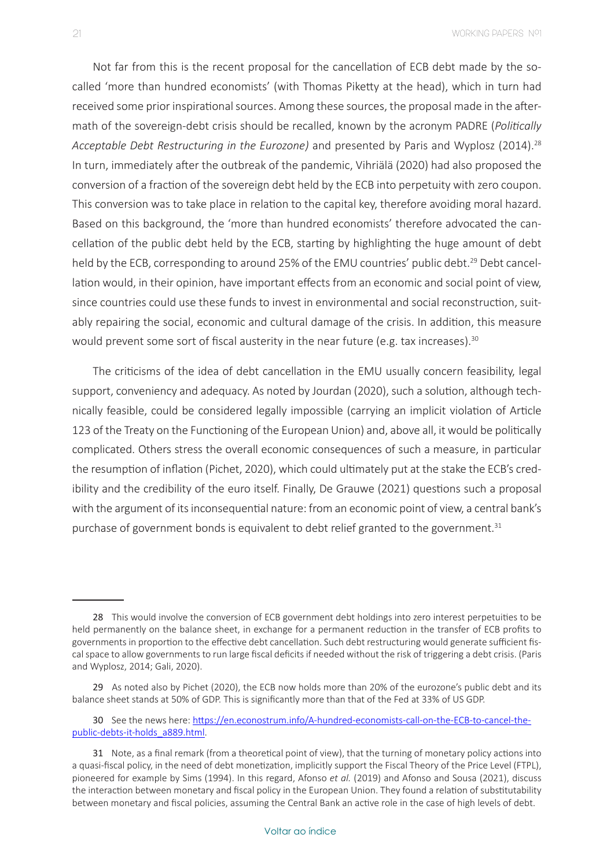Not far from this is the recent proposal for the cancellation of ECB debt made by the socalled 'more than hundred economists' (with Thomas Piketty at the head), which in turn had received some prior inspirational sources. Among these sources, the proposal made in the aftermath of the sovereign-debt crisis should be recalled, known by the acronym PADRE (*Politically*  Acceptable Debt Restructuring in the Eurozone) and presented by Paris and Wyplosz (2014).<sup>28</sup> In turn, immediately after the outbreak of the pandemic, Vihriälä (2020) had also proposed the conversion of a fraction of the sovereign debt held by the ECB into perpetuity with zero coupon. This conversion was to take place in relation to the capital key, therefore avoiding moral hazard. Based on this background, the 'more than hundred economists' therefore advocated the cancellation of the public debt held by the ECB, starting by highlighting the huge amount of debt held by the ECB, corresponding to around 25% of the EMU countries' public debt.<sup>29</sup> Debt cancellation would, in their opinion, have important effects from an economic and social point of view, since countries could use these funds to invest in environmental and social reconstruction, suitably repairing the social, economic and cultural damage of the crisis. In addition, this measure would prevent some sort of fiscal austerity in the near future (e.g. tax increases).<sup>30</sup>

The criticisms of the idea of debt cancellation in the EMU usually concern feasibility, legal support, conveniency and adequacy. As noted by Jourdan (2020), such a solution, although technically feasible, could be considered legally impossible (carrying an implicit violation of Article 123 of the Treaty on the Functioning of the European Union) and, above all, it would be politically complicated. Others stress the overall economic consequences of such a measure, in particular the resumption of inflation (Pichet, 2020), which could ultimately put at the stake the ECB's credibility and the credibility of the euro itself. Finally, De Grauwe (2021) questions such a proposal with the argument of its inconsequential nature: from an economic point of view, a central bank's purchase of government bonds is equivalent to debt relief granted to the government.<sup>31</sup>

<sup>28</sup> This would involve the conversion of ECB government debt holdings into zero interest perpetuities to be held permanently on the balance sheet, in exchange for a permanent reduction in the transfer of ECB profits to governments in proportion to the effective debt cancellation. Such debt restructuring would generate sufficient fiscal space to allow governments to run large fiscal deficits if needed without the risk of triggering a debt crisis. (Paris and Wyplosz, 2014; Gali, 2020).

<sup>29</sup> As noted also by Pichet (2020), the ECB now holds more than 20% of the eurozone's public debt and its balance sheet stands at 50% of GDP. This is significantly more than that of the Fed at 33% of US GDP.

<sup>30</sup> See the news here: [https://en.econostrum.info/A-hundred-economists-call-on-the-ECB-to-cancel-the](https://en.econostrum.info/A-hundred-economists-call-on-the-ECB-to-cancel-the-public-debts-it-holds_a889.html)[public-debts-it-holds\\_a889.html.](https://en.econostrum.info/A-hundred-economists-call-on-the-ECB-to-cancel-the-public-debts-it-holds_a889.html)

<sup>31</sup> Note, as a final remark (from a theoretical point of view), that the turning of monetary policy actions into a quasi-fiscal policy, in the need of debt monetization, implicitly support the Fiscal Theory of the Price Level (FTPL), pioneered for example by Sims (1994). In this regard, Afonso *et al.* (2019) and Afonso and Sousa (2021), discuss the interaction between monetary and fiscal policy in the European Union. They found a relation of substitutability between monetary and fiscal policies, assuming the Central Bank an active role in the case of high levels of debt.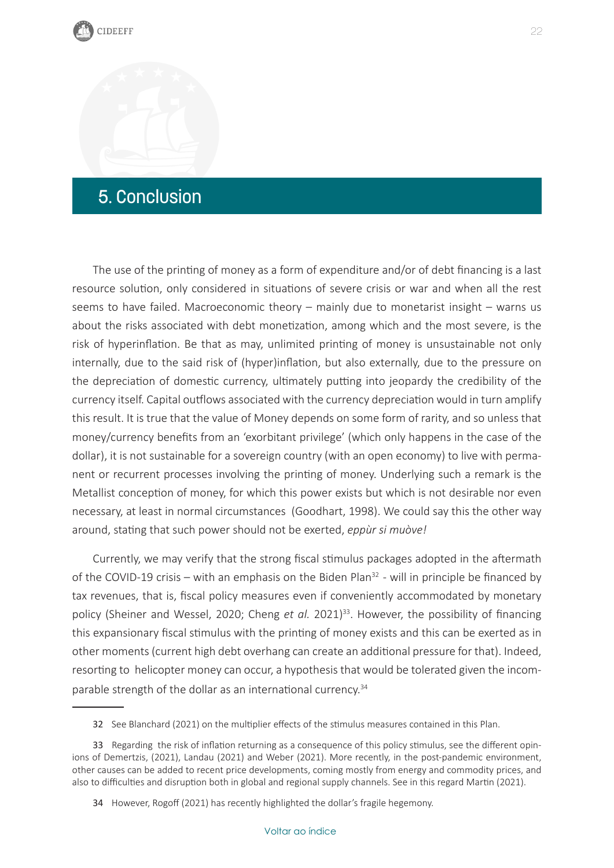# <span id="page-22-0"></span>5. Conclusion

The use of the printing of money as a form of expenditure and/or of debt financing is a last resource solution, only considered in situations of severe crisis or war and when all the rest seems to have failed. Macroeconomic theory – mainly due to monetarist insight – warns us about the risks associated with debt monetization, among which and the most severe, is the risk of hyperinflation. Be that as may, unlimited printing of money is unsustainable not only internally, due to the said risk of (hyper)inflation, but also externally, due to the pressure on the depreciation of domestic currency, ultimately putting into jeopardy the credibility of the currency itself. Capital outflows associated with the currency depreciation would in turn amplify this result. It is true that the value of Money depends on some form of rarity, and so unless that money/currency benefits from an 'exorbitant privilege' (which only happens in the case of the dollar), it is not sustainable for a sovereign country (with an open economy) to live with permanent or recurrent processes involving the printing of money. Underlying such a remark is the Metallist conception of money, for which this power exists but which is not desirable nor even necessary, at least in normal circumstances (Goodhart, 1998). We could say this the other way around, stating that such power should not be exerted, *eppùr si muòve!*

Currently, we may verify that the strong fiscal stimulus packages adopted in the aftermath of the COVID-19 crisis – with an emphasis on the Biden Plan<sup>32</sup> - will in principle be financed by tax revenues, that is, fiscal policy measures even if conveniently accommodated by monetary policy (Sheiner and Wessel, 2020; Cheng *et al.* 2021)<sup>33</sup>. However, the possibility of financing this expansionary fiscal stimulus with the printing of money exists and this can be exerted as in other moments (current high debt overhang can create an additional pressure for that). Indeed, resorting to helicopter money can occur, a hypothesis that would be tolerated given the incomparable strength of the dollar as an international currency.<sup>34</sup>

<sup>32</sup> See Blanchard (2021) on the multiplier effects of the stimulus measures contained in this Plan.

<sup>33</sup> Regarding the risk of inflation returning as a consequence of this policy stimulus, see the different opinions of Demertzis, (2021), Landau (2021) and Weber (2021). More recently, in the post-pandemic environment, other causes can be added to recent price developments, coming mostly from energy and commodity prices, and also to difficulties and disruption both in global and regional supply channels. See in this regard Martin (2021).

<sup>34</sup> However, Rogoff (2021) has recently highlighted the dollar's fragile hegemony.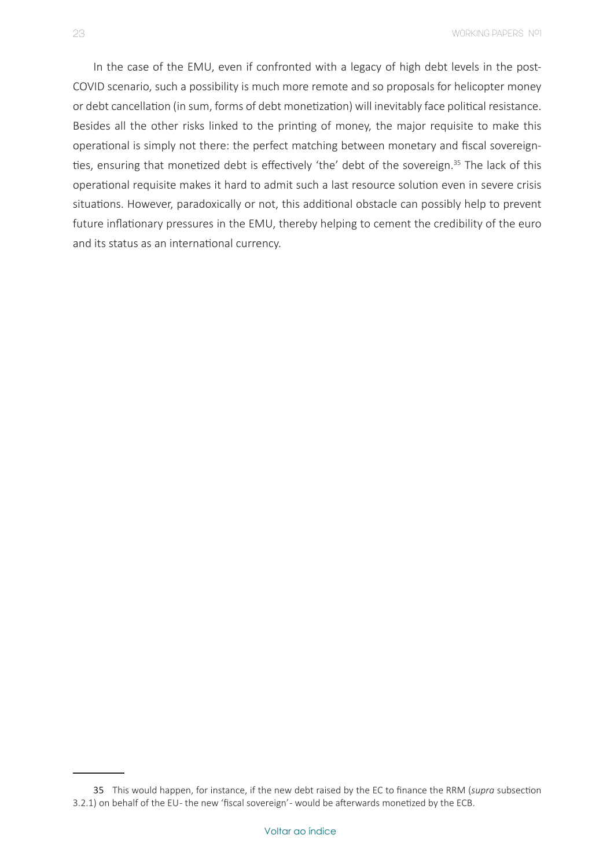In the case of the EMU, even if confronted with a legacy of high debt levels in the post-COVID scenario, such a possibility is much more remote and so proposals for helicopter money or debt cancellation (in sum, forms of debt monetization) will inevitably face political resistance. Besides all the other risks linked to the printing of money, the major requisite to make this operational is simply not there: the perfect matching between monetary and fiscal sovereignties, ensuring that monetized debt is effectively 'the' debt of the sovereign.<sup>35</sup> The lack of this operational requisite makes it hard to admit such a last resource solution even in severe crisis situations. However, paradoxically or not, this additional obstacle can possibly help to prevent future inflationary pressures in the EMU, thereby helping to cement the credibility of the euro and its status as an international currency.

<sup>35</sup> This would happen, for instance, if the new debt raised by the EC to finance the RRM (*supra* subsection 3.2.1) on behalf of the EU - the new 'fiscal sovereign' - would be afterwards monetized by the ECB.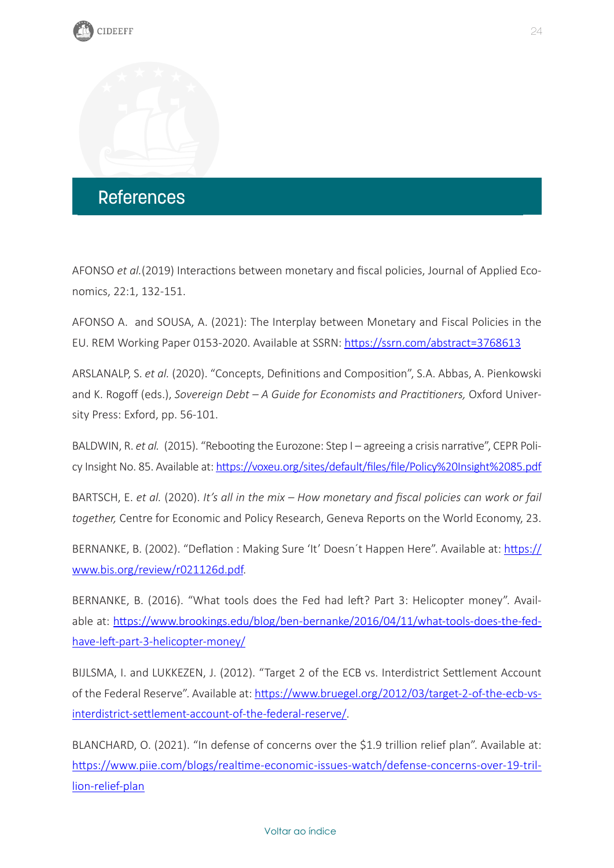<span id="page-24-0"></span>

AFONSO *et al.*(2019) Interactions between monetary and fiscal policies, Journal of Applied Economics, 22:1, 132-151.

AFONSO A. and SOUSA, A. (2021): The Interplay between Monetary and Fiscal Policies in the EU. REM Working Paper 0153-2020. Available at SSRN: <https://ssrn.com/abstract=3768613>

ARSLANALP, S. *et al.* (2020). "Concepts, Definitions and Composition", S.A. Abbas, A. Pienkowski and K. Rogoff (eds.), *Sovereign Debt – A Guide for Economists and Practitioners, Oxford Univer*sity Press: Exford, pp. 56-101.

BALDWIN, R. *et al.* (2015). "Rebooting the Eurozone: Step I – agreeing a crisis narrative", CEPR Policy Insight No. 85. Available at: [https://voxeu.org/sites/default/files/file/Policy%20Insight%2085.pdf](https://voxeu.org/sites/default/files/file/Policy Insight 85.pdf)

BARTSCH, E. *et al.* (2020). *It's all in the mix – How monetary and fiscal policies can work or fail together,* Centre for Economic and Policy Research, Geneva Reports on the World Economy, 23.

BERNANKE, B. (2002). "Deflation : Making Sure 'It' Doesn't Happen Here". Available at: [https://](https://www.bis.org/review/r021126d.pdf) [www.bis.org/review/r021126d.pdf.](https://www.bis.org/review/r021126d.pdf)

BERNANKE, B. (2016). "What tools does the Fed had left? Part 3: Helicopter money". Available at: [https://www.brookings.edu/blog/ben-bernanke/2016/04/11/what-tools-does-the-fed](https://www.brookings.edu/blog/ben-bernanke/2016/04/11/what-tools-does-the-fed-have-left-part-3-helicopter-money/)[have-left-part-3-helicopter-money/](https://www.brookings.edu/blog/ben-bernanke/2016/04/11/what-tools-does-the-fed-have-left-part-3-helicopter-money/)

BIJLSMA, I. and LUKKEZEN, J. (2012). "Target 2 of the ECB vs. Interdistrict Settlement Account of the Federal Reserve". Available at: [https://www.bruegel.org/2012/03/target-2-of-the-ecb-vs](https://www.bruegel.org/2012/03/target-2-of-the-ecb-vs-interdistrict-settlement-account-of-the-federal-reserve/)[interdistrict-settlement-account-of-the-federal-reserve/.](https://www.bruegel.org/2012/03/target-2-of-the-ecb-vs-interdistrict-settlement-account-of-the-federal-reserve/)

BLANCHARD, O. (2021). "In defense of concerns over the \$1.9 trillion relief plan". Available at: [https://www.piie.com/blogs/realtime-economic-issues-watch/defense-concerns-over-19-tril](#page-1-0)[lion-relief-plan](#page-1-0)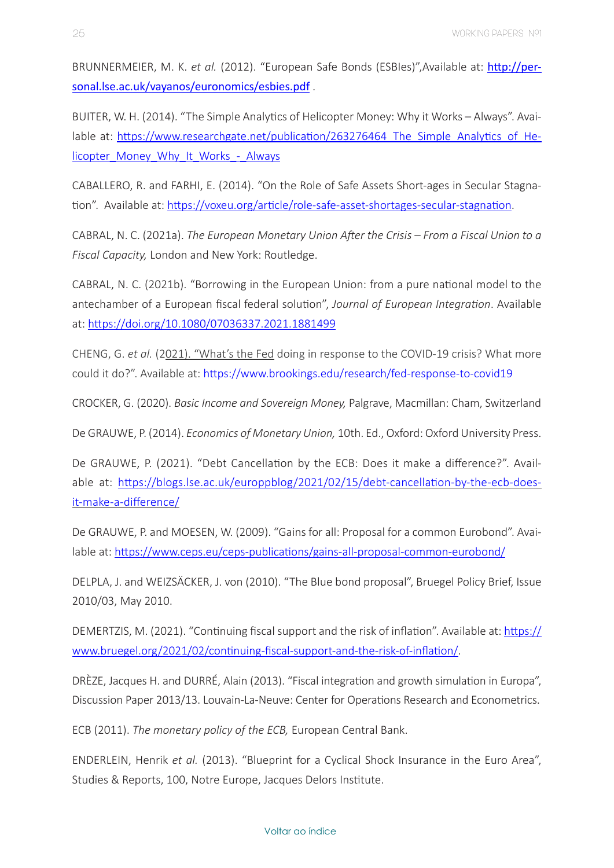BRUNNERMEIER, M. K. *et al.* (2012). "European Safe Bonds (ESBIes)",Available at: [http://per](http://personal.lse.ac.uk/vayanos/euronomics/esbies.pdf)[sonal.lse.ac.uk/vayanos/euronomics/esbies.pdf](http://personal.lse.ac.uk/vayanos/euronomics/esbies.pdf) .

BUITER, W. H. (2014). "The Simple Analytics of Helicopter Money: Why it Works – Always". Available at: https://www.researchgate.net/publication/263276464 The Simple Analytics of He[licopter\\_Money\\_Why\\_It\\_Works\\_-\\_Always](https://www.researchgate.net/publication/263276464_The_Simple_Analytics_of_Helicopter_Money_Why_It_Works_-_Always)

CABALLERO, R. and FARHI, E. (2014). "On the Role of Safe Assets Short-ages in Secular Stagnation". Available at:<https://voxeu.org/article/role-safe-asset-shortages-secular-stagnation>.

CABRAL, N. C. (2021a). *The European Monetary Union After the Crisis – From a Fiscal Union to a Fiscal Capacity,* London and New York: Routledge.

CABRAL, N. C. (2021b). "Borrowing in the European Union: from a pure national model to the antechamber of a European fiscal federal solution", *Journal of European Integration*. Available at:<https://doi.org/10.1080/07036337.2021.1881499>

CHENG, G. *et al.* (2021). "What's the Fed doing in response to the COVID-19 crisis? What more could it do?". Available at:<https://www.brookings.edu/research/fed-response-to-covid19>

CROCKER, G. (2020). *Basic Income and Sovereign Money,* Palgrave, Macmillan: Cham, Switzerland

De GRAUWE, P. (2014). *Economics of Monetary Union,* 10th. Ed., Oxford: Oxford University Press.

De GRAUWE, P. (2021). "Debt Cancellation by the ECB: Does it make a difference?". Available at: <https://blogs.lse.ac.uk/europpblog/2021/02/15/debt>-cancellation-by-the-ecb-doesit-make-a-difference/

De GRAUWE, P. and MOESEN, W. (2009). "Gains for all: Proposal for a common Eurobond". Available at:<https://www.ceps.eu/ceps-publications/gains-all-proposal-common-eurobond/>

DELPLA, J. and WEIZSÄCKER, J. von (2010). "The Blue bond proposal", Bruegel Policy Brief, Issue 2010/03, May 2010.

DEMERTZIS, M. (2021). "Continuing fiscal support and the risk of inflation". Available at: [https://](https://www.bruegel.org/2021/02/continuing-fiscal-support-and-the-risk-of-inflation/) [www.bruegel.org/2021/02/continuing-fiscal-support-and-the-risk-of-inflation/](https://www.bruegel.org/2021/02/continuing-fiscal-support-and-the-risk-of-inflation/).

DRÈZE, Jacques H. and DURRÉ, Alain (2013). "Fiscal integration and growth simulation in Europa", Discussion Paper 2013/13. Louvain-La-Neuve: Center for Operations Research and Econometrics.

ECB (2011). *The monetary policy of the ECB,* European Central Bank.

ENDERLEIN, Henrik *et al.* (2013). "Blueprint for a Cyclical Shock Insurance in the Euro Area", Studies & Reports, 100, Notre Europe, Jacques Delors Institute.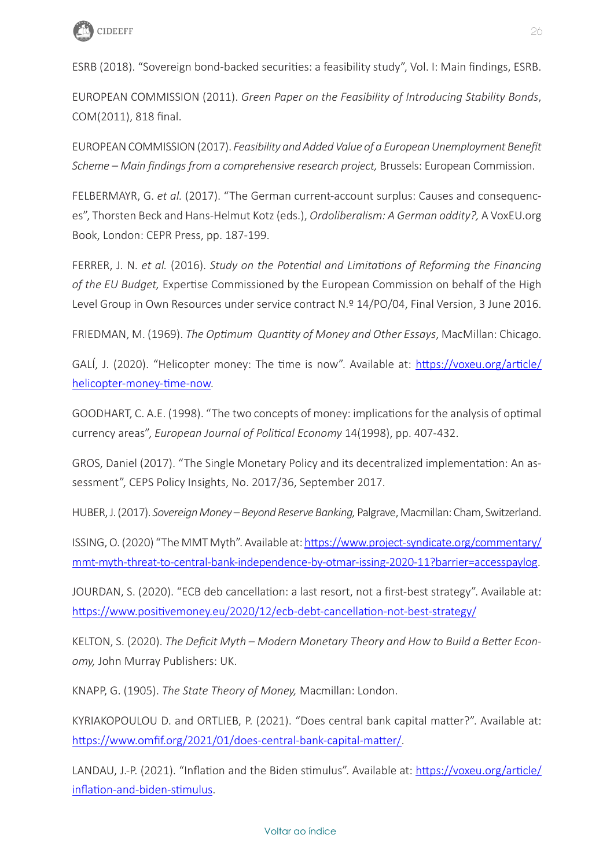

ESRB (2018). "Sovereign bond-backed securities: a feasibility study", Vol. I: Main findings, ESRB.

EUROPEAN COMMISSION (2011). *Green Paper on the Feasibility of Introducing Stability Bonds*, COM(2011), 818 final.

EUROPEAN COMMISSION (2017). *Feasibility and Added Value of a European Unemployment Benefit Scheme – Main findings from a comprehensive research project,* Brussels: European Commission.

FELBERMAYR, G. *et al.* (2017). "The German current-account surplus: Causes and consequences", Thorsten Beck and Hans-Helmut Kotz (eds.), *Ordoliberalism: A German oddity?,* A VoxEU.org Book, London: CEPR Press, pp. 187-199.

FERRER, J. N. *et al.* (2016). *Study on the Potential and Limitations of Reforming the Financing of the EU Budget,* Expertise Commissioned by the European Commission on behalf of the High Level Group in Own Resources under service contract N.º 14/PO/04, Final Version, 3 June 2016.

FRIEDMAN, M. (1969). *The Optimum Quantity of Money and Other Essays*, MacMillan: Chicago.

GALÍ, J. (2020). "Helicopter money: The time is now". Available at: [https://voxeu.org/article/](https://voxeu.org/article/helicopter-money-time-now) [helicopter-money-time-now](https://voxeu.org/article/helicopter-money-time-now).

GOODHART, C. A.E. (1998). "The two concepts of money: implications for the analysis of optimal currency areas", *European Journal of Political Economy* 14(1998), pp. 407-432.

GROS, Daniel (2017). "The Single Monetary Policy and its decentralized implementation: An assessment", CEPS Policy Insights, No. 2017/36, September 2017.

HUBER, J. (2017). *Sovereign Money – Beyond Reserve Banking,* Palgrave, Macmillan: Cham, Switzerland.

ISSING, O. (2020) "The MMT Myth". Available at: [https://www.project-syndicate.org/commentary/](https://www.project-syndicate.org/commentary/mmt-myth-threat-to-central-bank-independence-by-otmar-issing-2020-11?barrier=accesspaylog) [mmt-myth-threat-to-central-bank-independence-by-otmar-issing-2020-11?barrier=accesspaylog](https://www.project-syndicate.org/commentary/mmt-myth-threat-to-central-bank-independence-by-otmar-issing-2020-11?barrier=accesspaylog).

JOURDAN, S. (2020). "ECB deb cancellation: a last resort, not a first-best strategy". Available at: <https://www.positivemoney.eu/2020/12/ecb>-debt-cancellation-not-best-strategy/

KELTON, S. (2020). *The Deficit Myth – Modern Monetary Theory and How to Build a Better Economy,* John Murray Publishers: UK.

KNAPP, G. (1905). *The State Theory of Money,* Macmillan: London.

KYRIAKOPOULOU D. and ORTLIEB, P. (2021). "Does central bank capital matter?". Available at: <https://www.omfif.org/2021/01/does-central-bank-capital-matter/>.

LANDAU, J.-P. (2021). "Inflation and the Biden stimulus". Available at: [https://voxeu.org/article/](https://voxeu.org/article/inflation-and-biden-stimulus) [inflation-and-biden-stimulus](https://voxeu.org/article/inflation-and-biden-stimulus).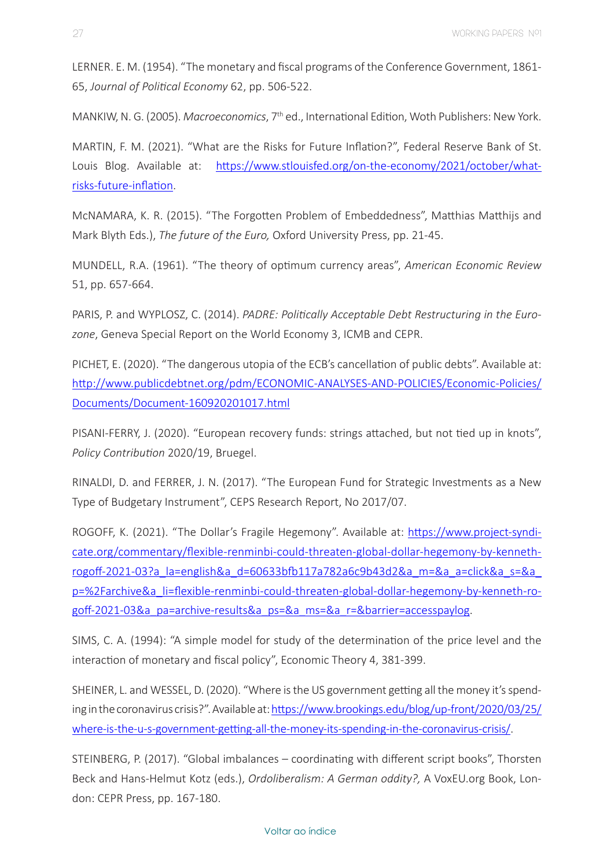LERNER. E. M. (1954). "The monetary and fiscal programs of the Conference Government, 1861- 65, *Journal of Political Economy* 62, pp. 506-522.

MANKIW, N. G. (2005). *Macroeconomics*, 7th ed., International Edition, Woth Publishers: New York.

MARTIN, F. M. (2021). "What are the Risks for Future Inflation?", Federal Reserve Bank of St. Louis Blog. Available at: [https://www.stlouisfed.org/on-the-economy/2021/october/what](https://www.stlouisfed.org/on-the-economy/2021/october/what-risks-future-inflation)[risks-future-inflation.](https://www.stlouisfed.org/on-the-economy/2021/october/what-risks-future-inflation)

McNAMARA, K. R. (2015). "The Forgotten Problem of Embeddedness", Matthias Matthijs and Mark Blyth Eds.), *The future of the Euro,* Oxford University Press, pp. 21-45.

MUNDELL, R.A. (1961). "The theory of optimum currency areas", *American Economic Review*  51, pp. 657-664.

PARIS, P. and WYPLOSZ, C. (2014). *PADRE: Politically Acceptable Debt Restructuring in the Eurozone*, Geneva Special Report on the World Economy 3, ICMB and CEPR.

PICHET, E. (2020). "The dangerous utopia of the ECB's cancellation of public debts". Available at: [http://www.publicdebtnet.org/pdm/ECONOMIC-ANALYSES-AND-POLICIES/Economic-Policies/](http://www.publicdebtnet.org/pdm/ECONOMIC-ANALYSES-AND-POLICIES/Economic-Policies/Documents/Document-160920201017.html) [Documents/Document-160920201017.html](http://www.publicdebtnet.org/pdm/ECONOMIC-ANALYSES-AND-POLICIES/Economic-Policies/Documents/Document-160920201017.html)

PISANI-FERRY, J. (2020). "European recovery funds: strings attached, but not tied up in knots", *Policy Contribution* 2020/19, Bruegel.

RINALDI, D. and FERRER, J. N. (2017). "The European Fund for Strategic Investments as a New Type of Budgetary Instrument", CEPS Research Report, No 2017/07.

ROGOFF, K. (2021). "The Dollar's Fragile Hegemony". Available at: [https://www.project-syndi](https://www.project-syndicate.org/commentary/flexible-renminbi-could-threaten-global-dollar-hegemony-by-kenneth-rogoff-2021-03?a_la=english&a_d=60633bfb117a782a6c9b43d2&a_m=&a_a=click&a_s=&a_p=%2Farchive&a_li=flexible-renminbi-could-threaten-global-dollar-hegemony-by-kenneth-rogoff-2021-03&a_pa=archive-results&a_ps=&a_ms=&a_r=&barrier=accesspaylog)[cate.org/commentary/flexible-renminbi-could-threaten-global-dollar-hegemony-by-kenneth](https://www.project-syndicate.org/commentary/flexible-renminbi-could-threaten-global-dollar-hegemony-by-kenneth-rogoff-2021-03?a_la=english&a_d=60633bfb117a782a6c9b43d2&a_m=&a_a=click&a_s=&a_p=%2Farchive&a_li=flexible-renminbi-could-threaten-global-dollar-hegemony-by-kenneth-rogoff-2021-03&a_pa=archive-results&a_ps=&a_ms=&a_r=&barrier=accesspaylog)[rogoff-2021-03?a\\_la=english&a\\_d=60633bfb117a782a6c9b43d2&a\\_m=&a\\_a=click&a\\_s=&a\\_](https://www.project-syndicate.org/commentary/flexible-renminbi-could-threaten-global-dollar-hegemony-by-kenneth-rogoff-2021-03?a_la=english&a_d=60633bfb117a782a6c9b43d2&a_m=&a_a=click&a_s=&a_p=%2Farchive&a_li=flexible-renminbi-could-threaten-global-dollar-hegemony-by-kenneth-rogoff-2021-03&a_pa=archive-results&a_ps=&a_ms=&a_r=&barrier=accesspaylog) [p=%2Farchive&a\\_li=flexible-renminbi-could-threaten-global-dollar-hegemony-by-kenneth-ro](https://www.project-syndicate.org/commentary/flexible-renminbi-could-threaten-global-dollar-hegemony-by-kenneth-rogoff-2021-03?a_la=english&a_d=60633bfb117a782a6c9b43d2&a_m=&a_a=click&a_s=&a_p=%2Farchive&a_li=flexible-renminbi-could-threaten-global-dollar-hegemony-by-kenneth-rogoff-2021-03&a_pa=archive-results&a_ps=&a_ms=&a_r=&barrier=accesspaylog)[goff-2021-03&a\\_pa=archive-results&a\\_ps=&a\\_ms=&a\\_r=&barrier=accesspaylog.](https://www.project-syndicate.org/commentary/flexible-renminbi-could-threaten-global-dollar-hegemony-by-kenneth-rogoff-2021-03?a_la=english&a_d=60633bfb117a782a6c9b43d2&a_m=&a_a=click&a_s=&a_p=%2Farchive&a_li=flexible-renminbi-could-threaten-global-dollar-hegemony-by-kenneth-rogoff-2021-03&a_pa=archive-results&a_ps=&a_ms=&a_r=&barrier=accesspaylog)

SIMS, C. A. (1994): "A simple model for study of the determination of the price level and the interaction of monetary and fiscal policy", Economic Theory 4, 381-399.

SHEINER, L. and WESSEL, D. (2020). "Where is the US government getting all the money it's spending in the coronavirus crisis?". Available at: [https://www.brookings.edu/blog/up-front/2020/03/25/](https://www.brookings.edu/blog/up-front/2020/03/25/where) [where-](https://www.brookings.edu/blog/up-front/2020/03/25/where)is-the-u-s-government-getting-all-the-money-its-spending-in-the-coronavirus-crisis/.

STEINBERG, P. (2017). "Global imbalances – coordinating with different script books", Thorsten Beck and Hans-Helmut Kotz (eds.), *Ordoliberalism: A German oddity?,* A VoxEU.org Book, London: CEPR Press, pp. 167-180.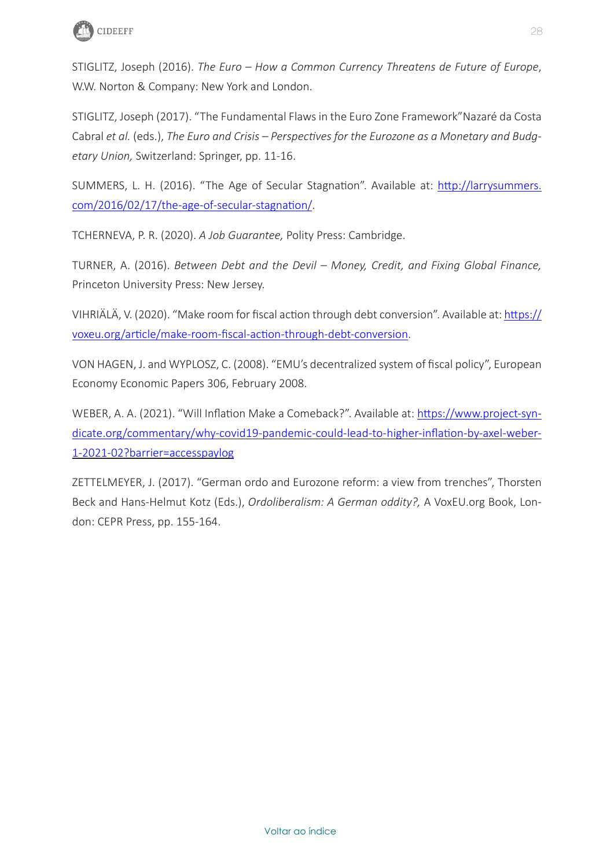

STIGLITZ, Joseph (2016). *The Euro – How a Common Currency Threatens de Future of Europe*, W.W. Norton & Company: New York and London.

STIGLITZ, Joseph (2017). "The Fundamental Flaws in the Euro Zone Framework"Nazaré da Costa Cabral *et al.* (eds.), *The Euro and Crisis – Perspectives for the Eurozone as a Monetary and Budgetary Union,* Switzerland: Springer, pp. 11-16.

SUMMERS, L. H. (2016). "The Age of Secular Stagnation". Available at: [http://larrysummers.](http://larrysummers.com/2016/02/17/the-age-of-secular-stagnation/) [com/2016/02/17/the-age-of-secular-stagnation/.](http://larrysummers.com/2016/02/17/the-age-of-secular-stagnation/)

TCHERNEVA, P. R. (2020). *A Job Guarantee,* Polity Press: Cambridge.

TURNER, A. (2016). *Between Debt and the Devil – Money, Credit, and Fixing Global Finance,*  Princeton University Press: New Jersey.

VIHRIÄLÄ, V. (2020). "Make room for fiscal action through debt conversion". Available at: [https://](https://voxeu.org/article/make-room-fiscal-action-through-debt-conversion) [voxeu.org/article/make-room-fiscal-action-through-debt-conversion.](https://voxeu.org/article/make-room-fiscal-action-through-debt-conversion)

VON HAGEN, J. and WYPLOSZ, C. (2008). "EMU's decentralized system of fiscal policy", European Economy Economic Papers 306, February 2008.

WEBER, A. A. (2021). "Will Inflation Make a Comeback?". Available at: [https://www.project-syn](https://www.project-syndicate.org/commentary/why)[dicate.org/commentary/why](https://www.project-syndicate.org/commentary/why)-covid19-pandemic-could-lead-to-higher-inflation-by-axel-weber-1-2021-02?barrier=accesspaylog

ZETTELMEYER, J. (2017). "German ordo and Eurozone reform: a view from trenches", Thorsten Beck and Hans-Helmut Kotz (Eds.), *Ordoliberalism: A German oddity?,* A VoxEU.org Book, London: CEPR Press, pp. 155-164.